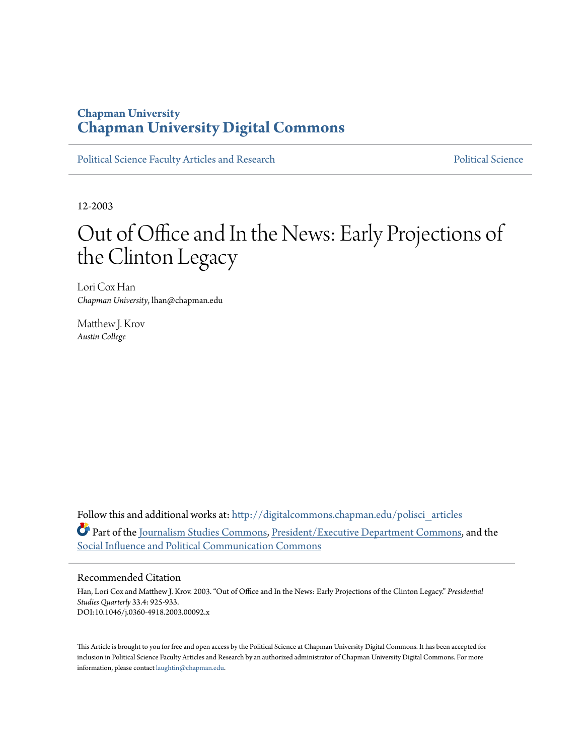# **Chapman University [Chapman University Digital Commons](http://digitalcommons.chapman.edu?utm_source=digitalcommons.chapman.edu%2Fpolisci_articles%2F2&utm_medium=PDF&utm_campaign=PDFCoverPages)**

[Political Science Faculty Articles and Research](http://digitalcommons.chapman.edu/polisci_articles?utm_source=digitalcommons.chapman.edu%2Fpolisci_articles%2F2&utm_medium=PDF&utm_campaign=PDFCoverPages) [Political Science](http://digitalcommons.chapman.edu/politicalscience?utm_source=digitalcommons.chapman.edu%2Fpolisci_articles%2F2&utm_medium=PDF&utm_campaign=PDFCoverPages) Political Science

12-2003

# Out of Office and In the News: Early Projections of the Clinton Legacy

Lori Cox Han *Chapman University*, lhan@chapman.edu

Matthew J. Krov *Austin College*

Follow this and additional works at: [http://digitalcommons.chapman.edu/polisci\\_articles](http://digitalcommons.chapman.edu/polisci_articles?utm_source=digitalcommons.chapman.edu%2Fpolisci_articles%2F2&utm_medium=PDF&utm_campaign=PDFCoverPages) Part of the [Journalism Studies Commons](http://network.bepress.com/hgg/discipline/333?utm_source=digitalcommons.chapman.edu%2Fpolisci_articles%2F2&utm_medium=PDF&utm_campaign=PDFCoverPages), [President/Executive Department Commons](http://network.bepress.com/hgg/discipline/1118?utm_source=digitalcommons.chapman.edu%2Fpolisci_articles%2F2&utm_medium=PDF&utm_campaign=PDFCoverPages), and the [Social Influence and Political Communication Commons](http://network.bepress.com/hgg/discipline/337?utm_source=digitalcommons.chapman.edu%2Fpolisci_articles%2F2&utm_medium=PDF&utm_campaign=PDFCoverPages)

#### Recommended Citation

Han, Lori Cox and Matthew J. Krov. 2003. "Out of Office and In the News: Early Projections of the Clinton Legacy." *Presidential Studies Quarterly* 33.4: 925-933. DOI:10.1046/j.0360-4918.2003.00092.x

This Article is brought to you for free and open access by the Political Science at Chapman University Digital Commons. It has been accepted for inclusion in Political Science Faculty Articles and Research by an authorized administrator of Chapman University Digital Commons. For more information, please contact [laughtin@chapman.edu](mailto:laughtin@chapman.edu).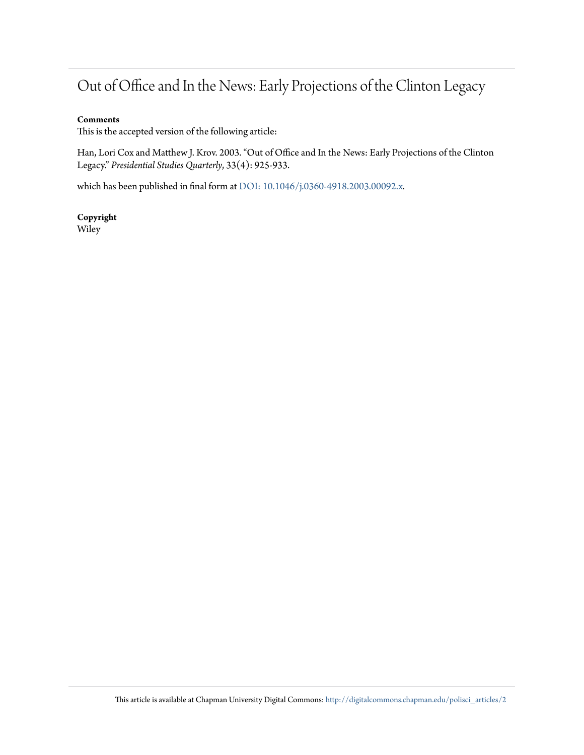# Out of Office and In the News: Early Projections of the Clinton Legacy

#### **Comments**

This is the accepted version of the following article:

Han, Lori Cox and Matthew J. Krov. 2003. "Out of Office and In the News: Early Projections of the Clinton Legacy." *Presidential Studies Quarterly*, 33(4): 925-933.

which has been published in final form at [DOI: 10.1046/j.0360-4918.2003.00092.x](http://dx.doi.org/10.1046/j.0360-4918.2003.00092.x).

**Copyright** Wiley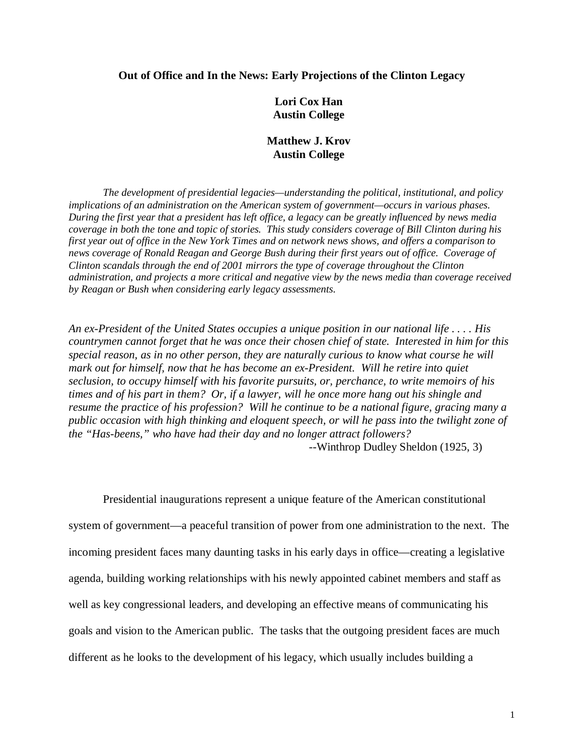#### **Out of Office and In the News: Early Projections of the Clinton Legacy**

### **Lori Cox Han Austin College**

#### **Matthew J. Krov Austin College**

*The development of presidential legacies—understanding the political, institutional, and policy implications of an administration on the American system of government—occurs in various phases. During the first year that a president has left office, a legacy can be greatly influenced by news media coverage in both the tone and topic of stories. This study considers coverage of Bill Clinton during his first year out of office in the New York Times and on network news shows, and offers a comparison to news coverage of Ronald Reagan and George Bush during their first years out of office. Coverage of Clinton scandals through the end of 2001 mirrors the type of coverage throughout the Clinton administration, and projects a more critical and negative view by the news media than coverage received by Reagan or Bush when considering early legacy assessments.*

*An ex-President of the United States occupies a unique position in our national life . . . . His countrymen cannot forget that he was once their chosen chief of state. Interested in him for this special reason, as in no other person, they are naturally curious to know what course he will mark out for himself, now that he has become an ex-President. Will he retire into quiet seclusion, to occupy himself with his favorite pursuits, or, perchance, to write memoirs of his times and of his part in them? Or, if a lawyer, will he once more hang out his shingle and resume the practice of his profession? Will he continue to be a national figure, gracing many a public occasion with high thinking and eloquent speech, or will he pass into the twilight zone of the "Has-beens," who have had their day and no longer attract followers?* --Winthrop Dudley Sheldon (1925, 3)

Presidential inaugurations represent a unique feature of the American constitutional system of government—a peaceful transition of power from one administration to the next. The incoming president faces many daunting tasks in his early days in office—creating a legislative agenda, building working relationships with his newly appointed cabinet members and staff as well as key congressional leaders, and developing an effective means of communicating his goals and vision to the American public. The tasks that the outgoing president faces are much different as he looks to the development of his legacy, which usually includes building a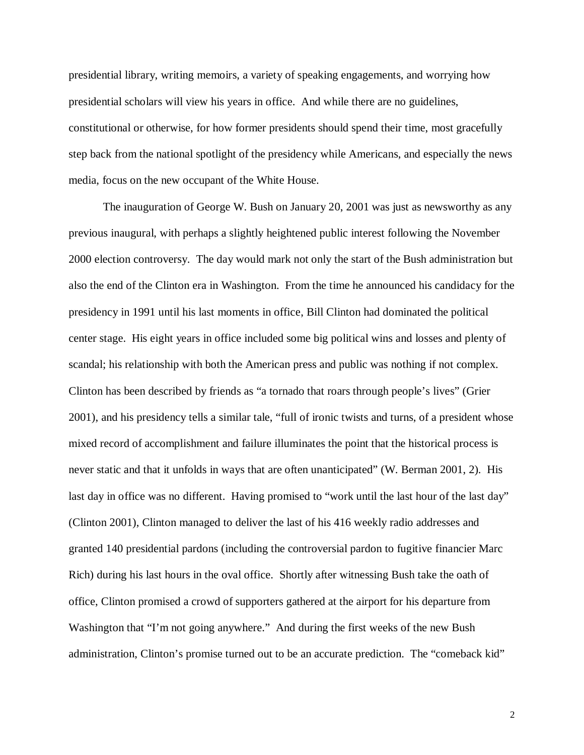presidential library, writing memoirs, a variety of speaking engagements, and worrying how presidential scholars will view his years in office. And while there are no guidelines, constitutional or otherwise, for how former presidents should spend their time, most gracefully step back from the national spotlight of the presidency while Americans, and especially the news media, focus on the new occupant of the White House.

The inauguration of George W. Bush on January 20, 2001 was just as newsworthy as any previous inaugural, with perhaps a slightly heightened public interest following the November 2000 election controversy. The day would mark not only the start of the Bush administration but also the end of the Clinton era in Washington. From the time he announced his candidacy for the presidency in 1991 until his last moments in office, Bill Clinton had dominated the political center stage. His eight years in office included some big political wins and losses and plenty of scandal; his relationship with both the American press and public was nothing if not complex. Clinton has been described by friends as "a tornado that roars through people's lives" (Grier 2001), and his presidency tells a similar tale, "full of ironic twists and turns, of a president whose mixed record of accomplishment and failure illuminates the point that the historical process is never static and that it unfolds in ways that are often unanticipated" (W. Berman 2001, 2). His last day in office was no different. Having promised to "work until the last hour of the last day" (Clinton 2001), Clinton managed to deliver the last of his 416 weekly radio addresses and granted 140 presidential pardons (including the controversial pardon to fugitive financier Marc Rich) during his last hours in the oval office. Shortly after witnessing Bush take the oath of office, Clinton promised a crowd of supporters gathered at the airport for his departure from Washington that "I'm not going anywhere." And during the first weeks of the new Bush administration, Clinton's promise turned out to be an accurate prediction. The "comeback kid"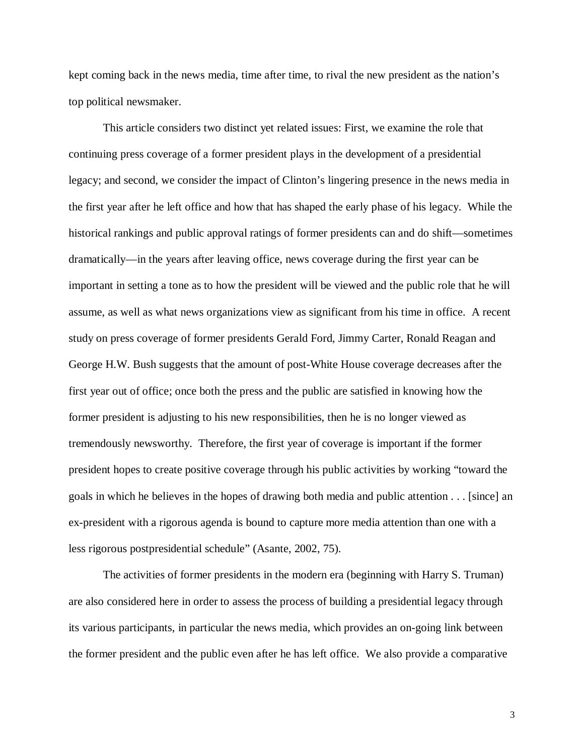kept coming back in the news media, time after time, to rival the new president as the nation's top political newsmaker.

This article considers two distinct yet related issues: First, we examine the role that continuing press coverage of a former president plays in the development of a presidential legacy; and second, we consider the impact of Clinton's lingering presence in the news media in the first year after he left office and how that has shaped the early phase of his legacy. While the historical rankings and public approval ratings of former presidents can and do shift—sometimes dramatically—in the years after leaving office, news coverage during the first year can be important in setting a tone as to how the president will be viewed and the public role that he will assume, as well as what news organizations view as significant from his time in office. A recent study on press coverage of former presidents Gerald Ford, Jimmy Carter, Ronald Reagan and George H.W. Bush suggests that the amount of post-White House coverage decreases after the first year out of office; once both the press and the public are satisfied in knowing how the former president is adjusting to his new responsibilities, then he is no longer viewed as tremendously newsworthy. Therefore, the first year of coverage is important if the former president hopes to create positive coverage through his public activities by working "toward the goals in which he believes in the hopes of drawing both media and public attention . . . [since] an ex-president with a rigorous agenda is bound to capture more media attention than one with a less rigorous postpresidential schedule" (Asante, 2002, 75).

The activities of former presidents in the modern era (beginning with Harry S. Truman) are also considered here in order to assess the process of building a presidential legacy through its various participants, in particular the news media, which provides an on-going link between the former president and the public even after he has left office. We also provide a comparative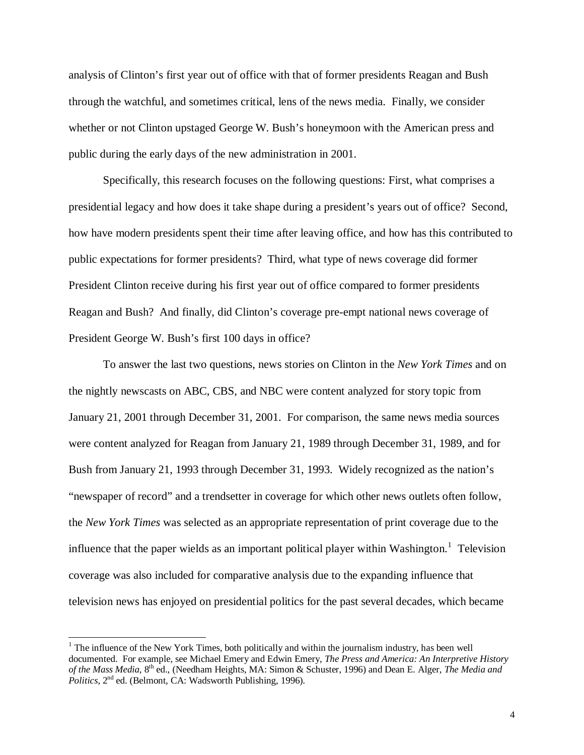analysis of Clinton's first year out of office with that of former presidents Reagan and Bush through the watchful, and sometimes critical, lens of the news media. Finally, we consider whether or not Clinton upstaged George W. Bush's honeymoon with the American press and public during the early days of the new administration in 2001.

Specifically, this research focuses on the following questions: First, what comprises a presidential legacy and how does it take shape during a president's years out of office? Second, how have modern presidents spent their time after leaving office, and how has this contributed to public expectations for former presidents? Third, what type of news coverage did former President Clinton receive during his first year out of office compared to former presidents Reagan and Bush? And finally, did Clinton's coverage pre-empt national news coverage of President George W. Bush's first 100 days in office?

To answer the last two questions, news stories on Clinton in the *New York Times* and on the nightly newscasts on ABC, CBS, and NBC were content analyzed for story topic from January 21, 2001 through December 31, 2001. For comparison, the same news media sources were content analyzed for Reagan from January 21, 1989 through December 31, 1989, and for Bush from January 21, 1993 through December 31, 1993. Widely recognized as the nation's "newspaper of record" and a trendsetter in coverage for which other news outlets often follow, the *New York Times* was selected as an appropriate representation of print coverage due to the influence that the paper wields as an important political player within Washington.<sup>[1](#page-5-0)</sup> Television coverage was also included for comparative analysis due to the expanding influence that television news has enjoyed on presidential politics for the past several decades, which became

<span id="page-5-0"></span> $<sup>1</sup>$  The influence of the New York Times, both politically and within the journalism industry, has been well</sup> documented. For example, see Michael Emery and Edwin Emery, *The Press and America: An Interpretive History of the Mass Media*, 8th ed., (Needham Heights, MA: Simon & Schuster, 1996) and Dean E. Alger, *The Media and Politics*, 2<sup>nd</sup> ed. (Belmont, CA: Wadsworth Publishing, 1996).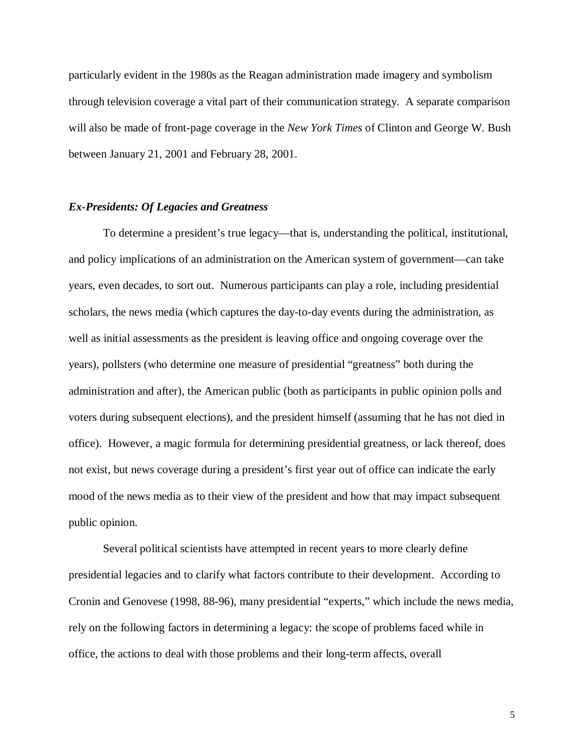particularly evident in the 1980s as the Reagan administration made imagery and symbolism through television coverage a vital part of their communication strategy. A separate comparison will also be made of front-page coverage in the *New York Times* of Clinton and George W. Bush between January 21, 2001 and February 28, 2001.

#### *Ex-Presidents: Of Legacies and Greatness*

To determine a president's true legacy—that is, understanding the political, institutional, and policy implications of an administration on the American system of government—can take years, even decades, to sort out. Numerous participants can play a role, including presidential scholars, the news media (which captures the day-to-day events during the administration, as well as initial assessments as the president is leaving office and ongoing coverage over the years), pollsters (who determine one measure of presidential "greatness" both during the administration and after), the American public (both as participants in public opinion polls and voters during subsequent elections), and the president himself (assuming that he has not died in office). However, a magic formula for determining presidential greatness, or lack thereof, does not exist, but news coverage during a president's first year out of office can indicate the early mood of the news media as to their view of the president and how that may impact subsequent public opinion.

Several political scientists have attempted in recent years to more clearly define presidential legacies and to clarify what factors contribute to their development. According to Cronin and Genovese (1998, 88-96), many presidential "experts," which include the news media, rely on the following factors in determining a legacy: the scope of problems faced while in office, the actions to deal with those problems and their long-term affects, overall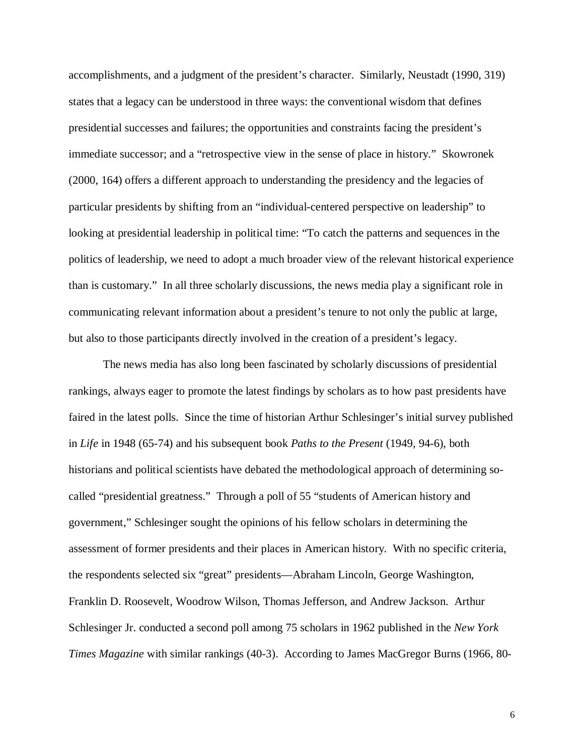accomplishments, and a judgment of the president's character. Similarly, Neustadt (1990, 319) states that a legacy can be understood in three ways: the conventional wisdom that defines presidential successes and failures; the opportunities and constraints facing the president's immediate successor; and a "retrospective view in the sense of place in history." Skowronek (2000, 164) offers a different approach to understanding the presidency and the legacies of particular presidents by shifting from an "individual-centered perspective on leadership" to looking at presidential leadership in political time: "To catch the patterns and sequences in the politics of leadership, we need to adopt a much broader view of the relevant historical experience than is customary." In all three scholarly discussions, the news media play a significant role in communicating relevant information about a president's tenure to not only the public at large, but also to those participants directly involved in the creation of a president's legacy.

The news media has also long been fascinated by scholarly discussions of presidential rankings, always eager to promote the latest findings by scholars as to how past presidents have faired in the latest polls. Since the time of historian Arthur Schlesinger's initial survey published in *Life* in 1948 (65-74) and his subsequent book *Paths to the Present* (1949, 94-6), both historians and political scientists have debated the methodological approach of determining socalled "presidential greatness." Through a poll of 55 "students of American history and government," Schlesinger sought the opinions of his fellow scholars in determining the assessment of former presidents and their places in American history. With no specific criteria, the respondents selected six "great" presidents—Abraham Lincoln, George Washington, Franklin D. Roosevelt, Woodrow Wilson, Thomas Jefferson, and Andrew Jackson. Arthur Schlesinger Jr. conducted a second poll among 75 scholars in 1962 published in the *New York Times Magazine* with similar rankings (40-3). According to James MacGregor Burns (1966, 80-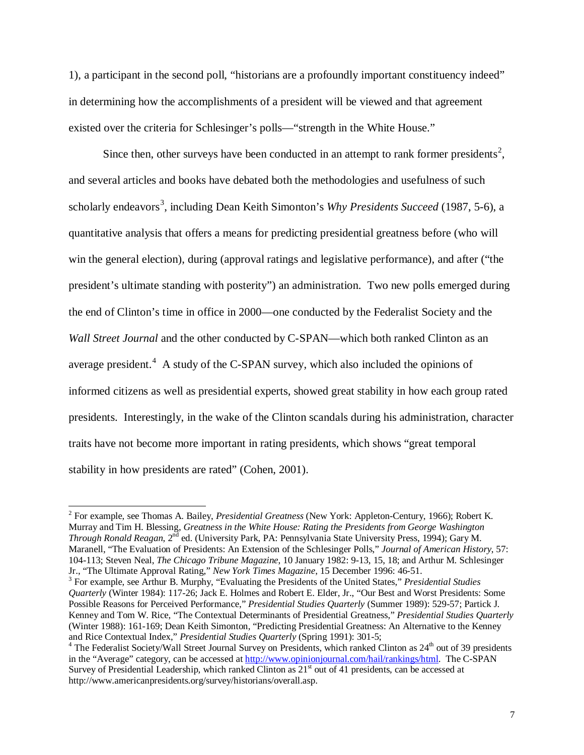1), a participant in the second poll, "historians are a profoundly important constituency indeed" in determining how the accomplishments of a president will be viewed and that agreement existed over the criteria for Schlesinger's polls—"strength in the White House."

Since then, other surveys have been conducted in an attempt to rank former presidents<sup>[2](#page-8-0)</sup>, and several articles and books have debated both the methodologies and usefulness of such scholarly endeavors<sup>[3](#page-8-1)</sup>, including Dean Keith Simonton's *Why Presidents Succeed* (1987, 5-6), a quantitative analysis that offers a means for predicting presidential greatness before (who will win the general election), during (approval ratings and legislative performance), and after ("the president's ultimate standing with posterity") an administration. Two new polls emerged during the end of Clinton's time in office in 2000—one conducted by the Federalist Society and the *Wall Street Journal* and the other conducted by C-SPAN—which both ranked Clinton as an average president.<sup>[4](#page-8-2)</sup> A study of the C-SPAN survey, which also included the opinions of informed citizens as well as presidential experts, showed great stability in how each group rated presidents. Interestingly, in the wake of the Clinton scandals during his administration, character traits have not become more important in rating presidents, which shows "great temporal stability in how presidents are rated" (Cohen, 2001).

<span id="page-8-0"></span> 2 For example, see Thomas A. Bailey, *Presidential Greatness* (New York: Appleton-Century, 1966); Robert K. Murray and Tim H. Blessing, *Greatness in the White House: Rating the Presidents from George Washington Through Ronald Reagan*, 2nd ed. (University Park, PA: Pennsylvania State University Press, 1994); Gary M. Maranell, "The Evaluation of Presidents: An Extension of the Schlesinger Polls," *Journal of American History*, 57: 104-113; Steven Neal, *The Chicago Tribune Magazine*, 10 January 1982: 9-13, 15, 18; and Arthur M. Schlesinger Jr., "The Ultimate Approval Rating," *New York Times Magazine*, 15 December 1996: 46-51. <sup>3</sup> For example, see Arthur B. Murphy, "Evaluating the Presidents of the United States," *Presidential Studies* 

<span id="page-8-1"></span>*Quarterly* (Winter 1984): 117-26; Jack E. Holmes and Robert E. Elder, Jr., "Our Best and Worst Presidents: Some Possible Reasons for Perceived Performance," *Presidential Studies Quarterly* (Summer 1989): 529-57; Partick J. Kenney and Tom W. Rice, "The Contextual Determinants of Presidential Greatness," *Presidential Studies Quarterly* (Winter 1988): 161-169; Dean Keith Simonton, "Predicting Presidential Greatness: An Alternative to the Kenney and Rice Contextual Index," Presidential Studies Quarterly (Spring 1991): 301-5;

<span id="page-8-2"></span><sup>&</sup>lt;sup>4</sup> The Federalist Society/Wall Street Journal Survey on Presidents, which ranked Clinton as 24<sup>th</sup> out of 39 presidents in the "Average" category, can be accessed at [http://www.opinionjournal.com/hail/rankings/html.](http://www.opinionjournal.com/hail/rankings/html) The C-SPAN Survey of Presidential Leadership, which ranked Clinton as  $21<sup>st</sup>$  out of 41 presidents, can be accessed at http://www.americanpresidents.org/survey/historians/overall.asp.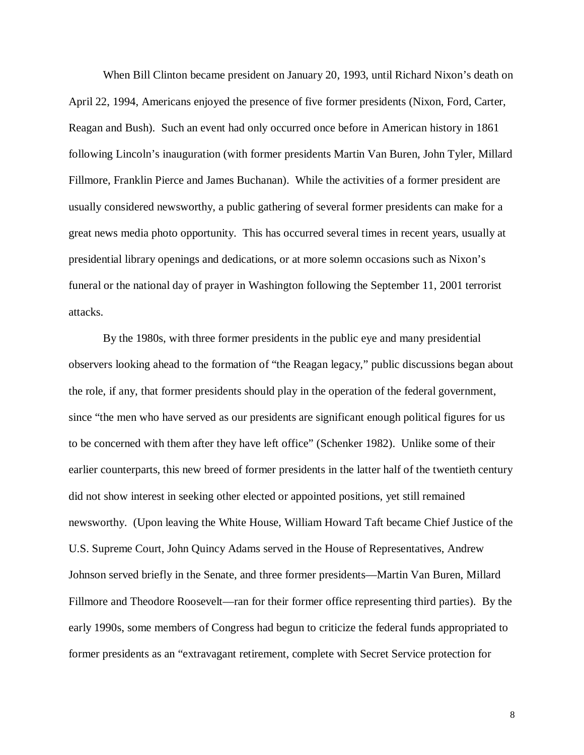When Bill Clinton became president on January 20, 1993, until Richard Nixon's death on April 22, 1994, Americans enjoyed the presence of five former presidents (Nixon, Ford, Carter, Reagan and Bush). Such an event had only occurred once before in American history in 1861 following Lincoln's inauguration (with former presidents Martin Van Buren, John Tyler, Millard Fillmore, Franklin Pierce and James Buchanan). While the activities of a former president are usually considered newsworthy, a public gathering of several former presidents can make for a great news media photo opportunity. This has occurred several times in recent years, usually at presidential library openings and dedications, or at more solemn occasions such as Nixon's funeral or the national day of prayer in Washington following the September 11, 2001 terrorist attacks.

By the 1980s, with three former presidents in the public eye and many presidential observers looking ahead to the formation of "the Reagan legacy," public discussions began about the role, if any, that former presidents should play in the operation of the federal government, since "the men who have served as our presidents are significant enough political figures for us to be concerned with them after they have left office" (Schenker 1982). Unlike some of their earlier counterparts, this new breed of former presidents in the latter half of the twentieth century did not show interest in seeking other elected or appointed positions, yet still remained newsworthy. (Upon leaving the White House, William Howard Taft became Chief Justice of the U.S. Supreme Court, John Quincy Adams served in the House of Representatives, Andrew Johnson served briefly in the Senate, and three former presidents—Martin Van Buren, Millard Fillmore and Theodore Roosevelt—ran for their former office representing third parties). By the early 1990s, some members of Congress had begun to criticize the federal funds appropriated to former presidents as an "extravagant retirement, complete with Secret Service protection for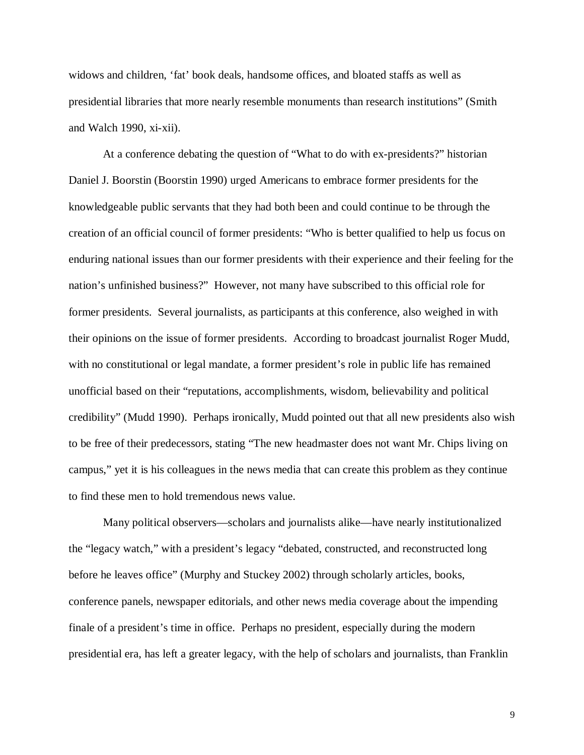widows and children, 'fat' book deals, handsome offices, and bloated staffs as well as presidential libraries that more nearly resemble monuments than research institutions" (Smith and Walch 1990, xi-xii).

At a conference debating the question of "What to do with ex-presidents?" historian Daniel J. Boorstin (Boorstin 1990) urged Americans to embrace former presidents for the knowledgeable public servants that they had both been and could continue to be through the creation of an official council of former presidents: "Who is better qualified to help us focus on enduring national issues than our former presidents with their experience and their feeling for the nation's unfinished business?" However, not many have subscribed to this official role for former presidents. Several journalists, as participants at this conference, also weighed in with their opinions on the issue of former presidents. According to broadcast journalist Roger Mudd, with no constitutional or legal mandate, a former president's role in public life has remained unofficial based on their "reputations, accomplishments, wisdom, believability and political credibility" (Mudd 1990). Perhaps ironically, Mudd pointed out that all new presidents also wish to be free of their predecessors, stating "The new headmaster does not want Mr. Chips living on campus," yet it is his colleagues in the news media that can create this problem as they continue to find these men to hold tremendous news value.

Many political observers—scholars and journalists alike—have nearly institutionalized the "legacy watch," with a president's legacy "debated, constructed, and reconstructed long before he leaves office" (Murphy and Stuckey 2002) through scholarly articles, books, conference panels, newspaper editorials, and other news media coverage about the impending finale of a president's time in office. Perhaps no president, especially during the modern presidential era, has left a greater legacy, with the help of scholars and journalists, than Franklin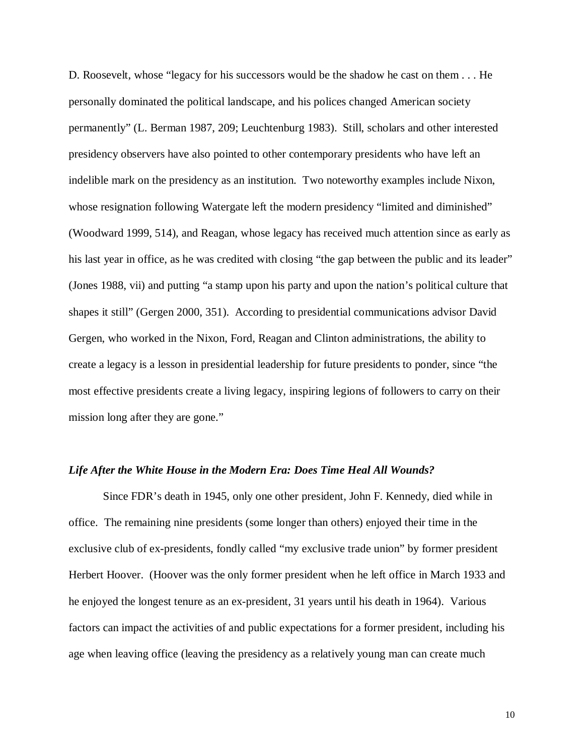D. Roosevelt, whose "legacy for his successors would be the shadow he cast on them . . . He personally dominated the political landscape, and his polices changed American society permanently" (L. Berman 1987, 209; Leuchtenburg 1983). Still, scholars and other interested presidency observers have also pointed to other contemporary presidents who have left an indelible mark on the presidency as an institution. Two noteworthy examples include Nixon, whose resignation following Watergate left the modern presidency "limited and diminished" (Woodward 1999, 514), and Reagan, whose legacy has received much attention since as early as his last year in office, as he was credited with closing "the gap between the public and its leader" (Jones 1988, vii) and putting "a stamp upon his party and upon the nation's political culture that shapes it still" (Gergen 2000, 351). According to presidential communications advisor David Gergen, who worked in the Nixon, Ford, Reagan and Clinton administrations, the ability to create a legacy is a lesson in presidential leadership for future presidents to ponder, since "the most effective presidents create a living legacy, inspiring legions of followers to carry on their mission long after they are gone."

#### *Life After the White House in the Modern Era: Does Time Heal All Wounds?*

Since FDR's death in 1945, only one other president, John F. Kennedy, died while in office. The remaining nine presidents (some longer than others) enjoyed their time in the exclusive club of ex-presidents, fondly called "my exclusive trade union" by former president Herbert Hoover. (Hoover was the only former president when he left office in March 1933 and he enjoyed the longest tenure as an ex-president, 31 years until his death in 1964). Various factors can impact the activities of and public expectations for a former president, including his age when leaving office (leaving the presidency as a relatively young man can create much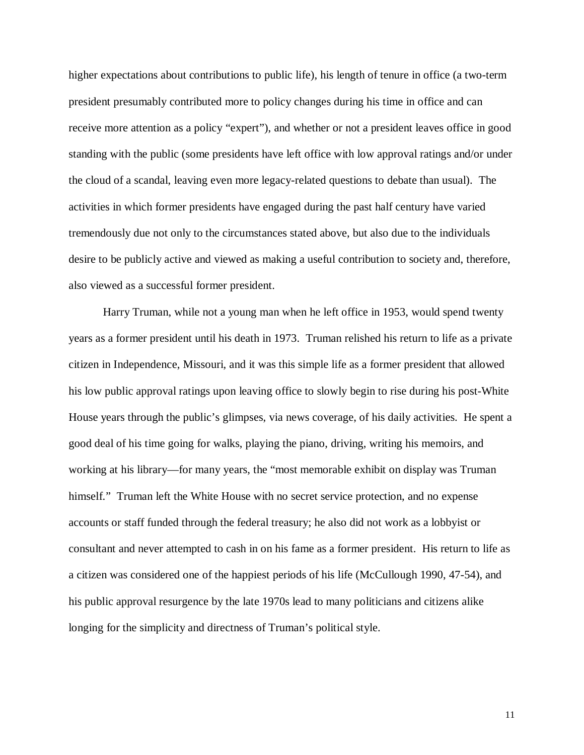higher expectations about contributions to public life), his length of tenure in office (a two-term president presumably contributed more to policy changes during his time in office and can receive more attention as a policy "expert"), and whether or not a president leaves office in good standing with the public (some presidents have left office with low approval ratings and/or under the cloud of a scandal, leaving even more legacy-related questions to debate than usual). The activities in which former presidents have engaged during the past half century have varied tremendously due not only to the circumstances stated above, but also due to the individuals desire to be publicly active and viewed as making a useful contribution to society and, therefore, also viewed as a successful former president.

Harry Truman, while not a young man when he left office in 1953, would spend twenty years as a former president until his death in 1973. Truman relished his return to life as a private citizen in Independence, Missouri, and it was this simple life as a former president that allowed his low public approval ratings upon leaving office to slowly begin to rise during his post-White House years through the public's glimpses, via news coverage, of his daily activities. He spent a good deal of his time going for walks, playing the piano, driving, writing his memoirs, and working at his library—for many years, the "most memorable exhibit on display was Truman himself." Truman left the White House with no secret service protection, and no expense accounts or staff funded through the federal treasury; he also did not work as a lobbyist or consultant and never attempted to cash in on his fame as a former president. His return to life as a citizen was considered one of the happiest periods of his life (McCullough 1990, 47-54), and his public approval resurgence by the late 1970s lead to many politicians and citizens alike longing for the simplicity and directness of Truman's political style.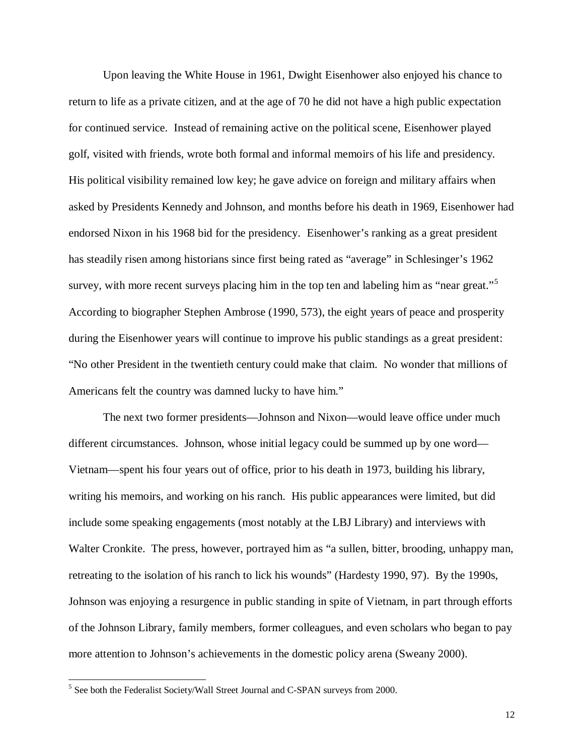Upon leaving the White House in 1961, Dwight Eisenhower also enjoyed his chance to return to life as a private citizen, and at the age of 70 he did not have a high public expectation for continued service. Instead of remaining active on the political scene, Eisenhower played golf, visited with friends, wrote both formal and informal memoirs of his life and presidency. His political visibility remained low key; he gave advice on foreign and military affairs when asked by Presidents Kennedy and Johnson, and months before his death in 1969, Eisenhower had endorsed Nixon in his 1968 bid for the presidency. Eisenhower's ranking as a great president has steadily risen among historians since first being rated as "average" in Schlesinger's 1962 survey, with more recent surveys placing him in the top ten and labeling him as "near great."<sup>[5](#page-13-0)</sup> According to biographer Stephen Ambrose (1990, 573), the eight years of peace and prosperity during the Eisenhower years will continue to improve his public standings as a great president: "No other President in the twentieth century could make that claim. No wonder that millions of Americans felt the country was damned lucky to have him."

The next two former presidents—Johnson and Nixon—would leave office under much different circumstances. Johnson, whose initial legacy could be summed up by one word— Vietnam—spent his four years out of office, prior to his death in 1973, building his library, writing his memoirs, and working on his ranch. His public appearances were limited, but did include some speaking engagements (most notably at the LBJ Library) and interviews with Walter Cronkite. The press, however, portrayed him as "a sullen, bitter, brooding, unhappy man, retreating to the isolation of his ranch to lick his wounds" (Hardesty 1990, 97). By the 1990s, Johnson was enjoying a resurgence in public standing in spite of Vietnam, in part through efforts of the Johnson Library, family members, former colleagues, and even scholars who began to pay more attention to Johnson's achievements in the domestic policy arena (Sweany 2000).

<span id="page-13-0"></span><sup>&</sup>lt;sup>5</sup> See both the Federalist Society/Wall Street Journal and C-SPAN surveys from 2000.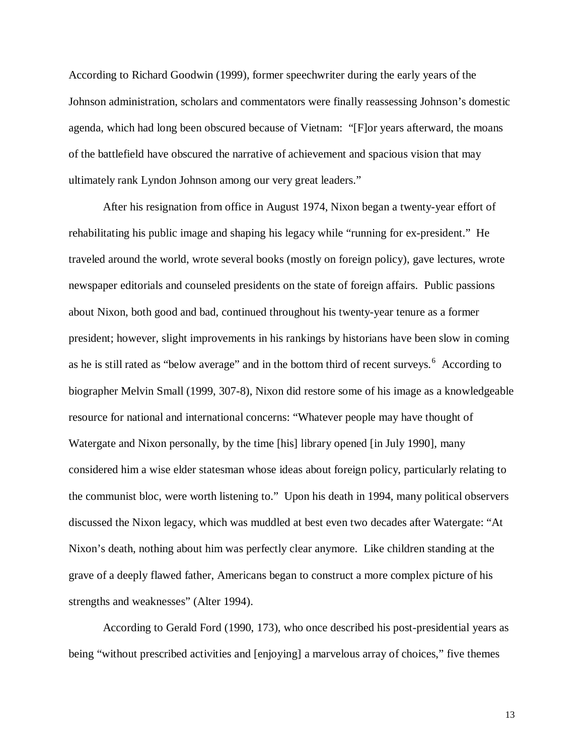According to Richard Goodwin (1999), former speechwriter during the early years of the Johnson administration, scholars and commentators were finally reassessing Johnson's domestic agenda, which had long been obscured because of Vietnam: "[F]or years afterward, the moans of the battlefield have obscured the narrative of achievement and spacious vision that may ultimately rank Lyndon Johnson among our very great leaders."

After his resignation from office in August 1974, Nixon began a twenty-year effort of rehabilitating his public image and shaping his legacy while "running for ex-president." He traveled around the world, wrote several books (mostly on foreign policy), gave lectures, wrote newspaper editorials and counseled presidents on the state of foreign affairs. Public passions about Nixon, both good and bad, continued throughout his twenty-year tenure as a former president; however, slight improvements in his rankings by historians have been slow in coming as he is still rated as "below average" and in the bottom third of recent surveys.<sup>[6](#page-14-0)</sup> According to biographer Melvin Small (1999, 307-8), Nixon did restore some of his image as a knowledgeable resource for national and international concerns: "Whatever people may have thought of Watergate and Nixon personally, by the time [his] library opened [in July 1990], many considered him a wise elder statesman whose ideas about foreign policy, particularly relating to the communist bloc, were worth listening to." Upon his death in 1994, many political observers discussed the Nixon legacy, which was muddled at best even two decades after Watergate: "At Nixon's death, nothing about him was perfectly clear anymore. Like children standing at the grave of a deeply flawed father, Americans began to construct a more complex picture of his strengths and weaknesses" (Alter 1994).

<span id="page-14-0"></span>According to Gerald Ford (1990, 173), who once described his post-presidential years as being "without prescribed activities and [enjoying] a marvelous array of choices," five themes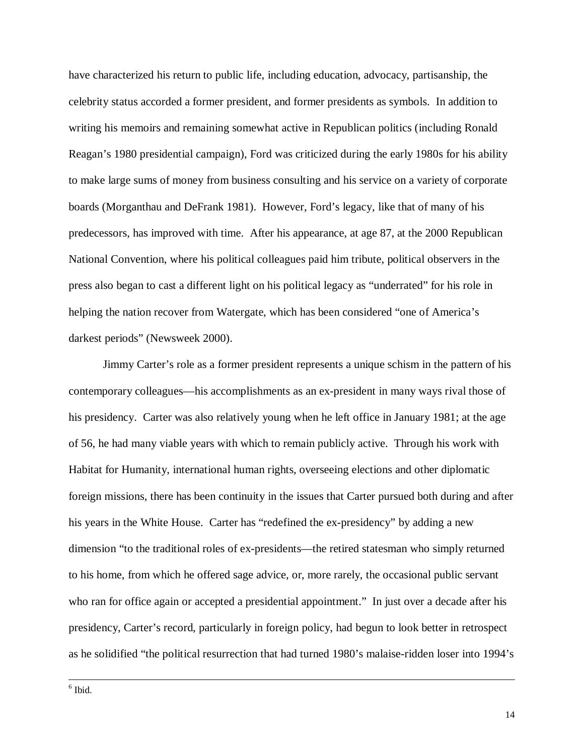have characterized his return to public life, including education, advocacy, partisanship, the celebrity status accorded a former president, and former presidents as symbols. In addition to writing his memoirs and remaining somewhat active in Republican politics (including Ronald Reagan's 1980 presidential campaign), Ford was criticized during the early 1980s for his ability to make large sums of money from business consulting and his service on a variety of corporate boards (Morganthau and DeFrank 1981). However, Ford's legacy, like that of many of his predecessors, has improved with time. After his appearance, at age 87, at the 2000 Republican National Convention, where his political colleagues paid him tribute, political observers in the press also began to cast a different light on his political legacy as "underrated" for his role in helping the nation recover from Watergate, which has been considered "one of America's darkest periods" (Newsweek 2000).

Jimmy Carter's role as a former president represents a unique schism in the pattern of his contemporary colleagues—his accomplishments as an ex-president in many ways rival those of his presidency. Carter was also relatively young when he left office in January 1981; at the age of 56, he had many viable years with which to remain publicly active. Through his work with Habitat for Humanity, international human rights, overseeing elections and other diplomatic foreign missions, there has been continuity in the issues that Carter pursued both during and after his years in the White House. Carter has "redefined the ex-presidency" by adding a new dimension "to the traditional roles of ex-presidents—the retired statesman who simply returned to his home, from which he offered sage advice, or, more rarely, the occasional public servant who ran for office again or accepted a presidential appointment." In just over a decade after his presidency, Carter's record, particularly in foreign policy, had begun to look better in retrospect as he solidified "the political resurrection that had turned 1980's malaise-ridden loser into 1994's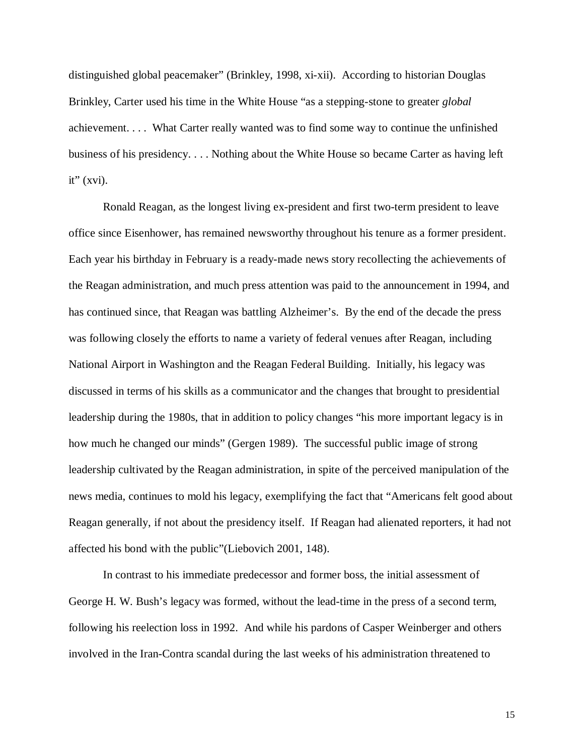distinguished global peacemaker" (Brinkley, 1998, xi-xii). According to historian Douglas Brinkley, Carter used his time in the White House "as a stepping-stone to greater *global* achievement. . . . What Carter really wanted was to find some way to continue the unfinished business of his presidency. . . . Nothing about the White House so became Carter as having left  $it''$  (xvi).

Ronald Reagan, as the longest living ex-president and first two-term president to leave office since Eisenhower, has remained newsworthy throughout his tenure as a former president. Each year his birthday in February is a ready-made news story recollecting the achievements of the Reagan administration, and much press attention was paid to the announcement in 1994, and has continued since, that Reagan was battling Alzheimer's. By the end of the decade the press was following closely the efforts to name a variety of federal venues after Reagan, including National Airport in Washington and the Reagan Federal Building. Initially, his legacy was discussed in terms of his skills as a communicator and the changes that brought to presidential leadership during the 1980s, that in addition to policy changes "his more important legacy is in how much he changed our minds" (Gergen 1989). The successful public image of strong leadership cultivated by the Reagan administration, in spite of the perceived manipulation of the news media, continues to mold his legacy, exemplifying the fact that "Americans felt good about Reagan generally, if not about the presidency itself. If Reagan had alienated reporters, it had not affected his bond with the public"(Liebovich 2001, 148).

In contrast to his immediate predecessor and former boss, the initial assessment of George H. W. Bush's legacy was formed, without the lead-time in the press of a second term, following his reelection loss in 1992. And while his pardons of Casper Weinberger and others involved in the Iran-Contra scandal during the last weeks of his administration threatened to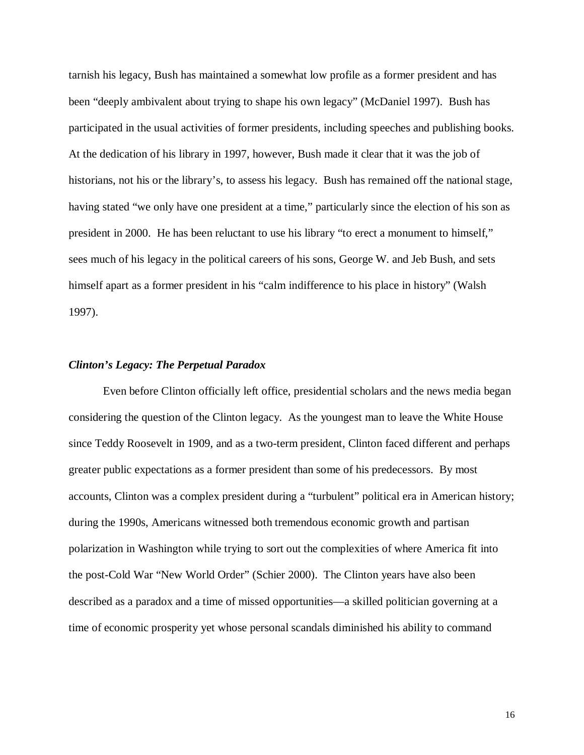tarnish his legacy, Bush has maintained a somewhat low profile as a former president and has been "deeply ambivalent about trying to shape his own legacy" (McDaniel 1997). Bush has participated in the usual activities of former presidents, including speeches and publishing books. At the dedication of his library in 1997, however, Bush made it clear that it was the job of historians, not his or the library's, to assess his legacy. Bush has remained off the national stage, having stated "we only have one president at a time," particularly since the election of his son as president in 2000. He has been reluctant to use his library "to erect a monument to himself," sees much of his legacy in the political careers of his sons, George W. and Jeb Bush, and sets himself apart as a former president in his "calm indifference to his place in history" (Walsh 1997).

#### *Clinton's Legacy: The Perpetual Paradox*

Even before Clinton officially left office, presidential scholars and the news media began considering the question of the Clinton legacy. As the youngest man to leave the White House since Teddy Roosevelt in 1909, and as a two-term president, Clinton faced different and perhaps greater public expectations as a former president than some of his predecessors. By most accounts, Clinton was a complex president during a "turbulent" political era in American history; during the 1990s, Americans witnessed both tremendous economic growth and partisan polarization in Washington while trying to sort out the complexities of where America fit into the post-Cold War "New World Order" (Schier 2000). The Clinton years have also been described as a paradox and a time of missed opportunities—a skilled politician governing at a time of economic prosperity yet whose personal scandals diminished his ability to command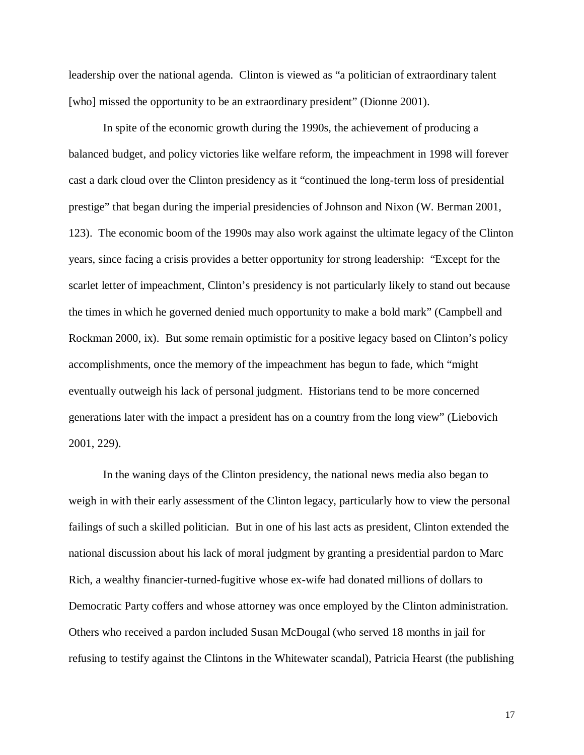leadership over the national agenda. Clinton is viewed as "a politician of extraordinary talent [who] missed the opportunity to be an extraordinary president" (Dionne 2001).

In spite of the economic growth during the 1990s, the achievement of producing a balanced budget, and policy victories like welfare reform, the impeachment in 1998 will forever cast a dark cloud over the Clinton presidency as it "continued the long-term loss of presidential prestige" that began during the imperial presidencies of Johnson and Nixon (W. Berman 2001, 123). The economic boom of the 1990s may also work against the ultimate legacy of the Clinton years, since facing a crisis provides a better opportunity for strong leadership: "Except for the scarlet letter of impeachment, Clinton's presidency is not particularly likely to stand out because the times in which he governed denied much opportunity to make a bold mark" (Campbell and Rockman 2000, ix). But some remain optimistic for a positive legacy based on Clinton's policy accomplishments, once the memory of the impeachment has begun to fade, which "might eventually outweigh his lack of personal judgment. Historians tend to be more concerned generations later with the impact a president has on a country from the long view" (Liebovich 2001, 229).

In the waning days of the Clinton presidency, the national news media also began to weigh in with their early assessment of the Clinton legacy, particularly how to view the personal failings of such a skilled politician. But in one of his last acts as president, Clinton extended the national discussion about his lack of moral judgment by granting a presidential pardon to Marc Rich, a wealthy financier-turned-fugitive whose ex-wife had donated millions of dollars to Democratic Party coffers and whose attorney was once employed by the Clinton administration. Others who received a pardon included Susan McDougal (who served 18 months in jail for refusing to testify against the Clintons in the Whitewater scandal), Patricia Hearst (the publishing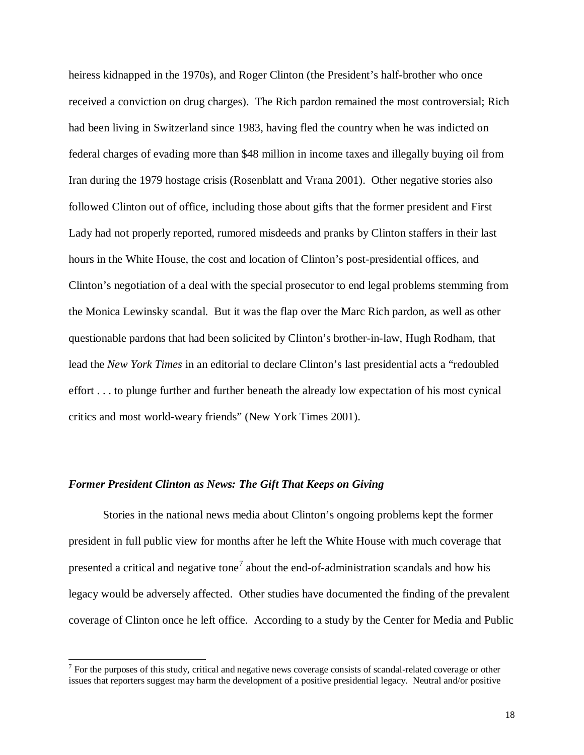heiress kidnapped in the 1970s), and Roger Clinton (the President's half-brother who once received a conviction on drug charges). The Rich pardon remained the most controversial; Rich had been living in Switzerland since 1983, having fled the country when he was indicted on federal charges of evading more than \$48 million in income taxes and illegally buying oil from Iran during the 1979 hostage crisis (Rosenblatt and Vrana 2001). Other negative stories also followed Clinton out of office, including those about gifts that the former president and First Lady had not properly reported, rumored misdeeds and pranks by Clinton staffers in their last hours in the White House, the cost and location of Clinton's post-presidential offices, and Clinton's negotiation of a deal with the special prosecutor to end legal problems stemming from the Monica Lewinsky scandal. But it was the flap over the Marc Rich pardon, as well as other questionable pardons that had been solicited by Clinton's brother-in-law, Hugh Rodham, that lead the *New York Times* in an editorial to declare Clinton's last presidential acts a "redoubled effort . . . to plunge further and further beneath the already low expectation of his most cynical critics and most world-weary friends" (New York Times 2001).

#### *Former President Clinton as News: The Gift That Keeps on Giving*

Stories in the national news media about Clinton's ongoing problems kept the former president in full public view for months after he left the White House with much coverage that presented a critical and negative tone<sup>[7](#page-19-0)</sup> about the end-of-administration scandals and how his legacy would be adversely affected. Other studies have documented the finding of the prevalent coverage of Clinton once he left office. According to a study by the Center for Media and Public

<span id="page-19-0"></span> $<sup>7</sup>$  For the purposes of this study, critical and negative news coverage consists of scandal-related coverage or other</sup> issues that reporters suggest may harm the development of a positive presidential legacy. Neutral and/or positive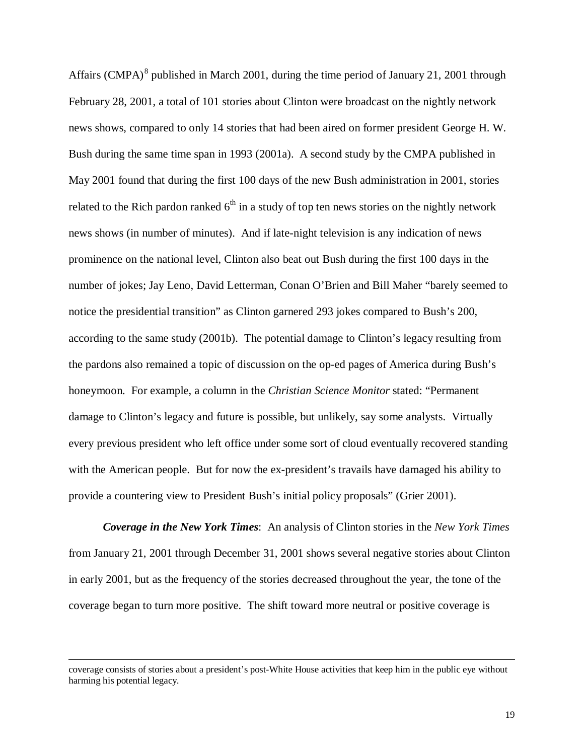Affairs (CMPA)<sup>[8](#page-20-0)</sup> published in March 2001, during the time period of January 21, 2001 through February 28, 2001, a total of 101 stories about Clinton were broadcast on the nightly network news shows, compared to only 14 stories that had been aired on former president George H. W. Bush during the same time span in 1993 (2001a). A second study by the CMPA published in May 2001 found that during the first 100 days of the new Bush administration in 2001, stories related to the Rich pardon ranked  $6<sup>th</sup>$  in a study of top ten news stories on the nightly network news shows (in number of minutes). And if late-night television is any indication of news prominence on the national level, Clinton also beat out Bush during the first 100 days in the number of jokes; Jay Leno, David Letterman, Conan O'Brien and Bill Maher "barely seemed to notice the presidential transition" as Clinton garnered 293 jokes compared to Bush's 200, according to the same study (2001b). The potential damage to Clinton's legacy resulting from the pardons also remained a topic of discussion on the op-ed pages of America during Bush's honeymoon. For example, a column in the *Christian Science Monitor* stated: "Permanent damage to Clinton's legacy and future is possible, but unlikely, say some analysts. Virtually every previous president who left office under some sort of cloud eventually recovered standing with the American people. But for now the ex-president's travails have damaged his ability to provide a countering view to President Bush's initial policy proposals" (Grier 2001).

*Coverage in the New York Times*: An analysis of Clinton stories in the *New York Times* from January 21, 2001 through December 31, 2001 shows several negative stories about Clinton in early 2001, but as the frequency of the stories decreased throughout the year, the tone of the coverage began to turn more positive. The shift toward more neutral or positive coverage is

 $\overline{a}$ 

<span id="page-20-0"></span>coverage consists of stories about a president's post-White House activities that keep him in the public eye without harming his potential legacy.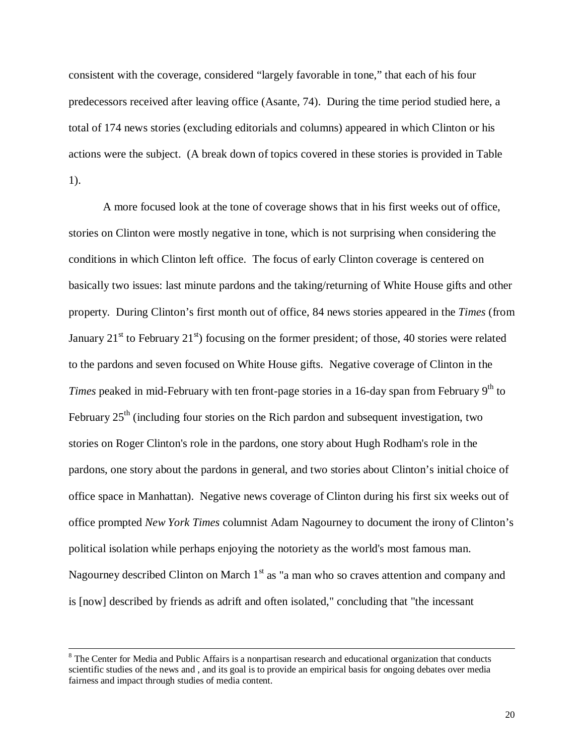consistent with the coverage, considered "largely favorable in tone," that each of his four predecessors received after leaving office (Asante, 74). During the time period studied here, a total of 174 news stories (excluding editorials and columns) appeared in which Clinton or his actions were the subject. (A break down of topics covered in these stories is provided in Table 1).

A more focused look at the tone of coverage shows that in his first weeks out of office, stories on Clinton were mostly negative in tone, which is not surprising when considering the conditions in which Clinton left office. The focus of early Clinton coverage is centered on basically two issues: last minute pardons and the taking/returning of White House gifts and other property. During Clinton's first month out of office, 84 news stories appeared in the *Times* (from January 21<sup>st</sup> to February 21<sup>st</sup>) focusing on the former president; of those, 40 stories were related to the pardons and seven focused on White House gifts. Negative coverage of Clinton in the *Times* peaked in mid-February with ten front-page stories in a 16-day span from February 9<sup>th</sup> to February  $25<sup>th</sup>$  (including four stories on the Rich pardon and subsequent investigation, two stories on Roger Clinton's role in the pardons, one story about Hugh Rodham's role in the pardons, one story about the pardons in general, and two stories about Clinton's initial choice of office space in Manhattan). Negative news coverage of Clinton during his first six weeks out of office prompted *New York Times* columnist Adam Nagourney to document the irony of Clinton's political isolation while perhaps enjoying the notoriety as the world's most famous man. Nagourney described Clinton on March  $1<sup>st</sup>$  as "a man who so craves attention and company and is [now] described by friends as adrift and often isolated," concluding that "the incessant

<sup>&</sup>lt;sup>8</sup> The Center for Media and Public Affairs is a nonpartisan research and educational organization that conducts scientific studies of the [news](http://www.cmpa.com/politics/polindex.htm) and [,](http://www.cmpa.com/tvent/tvindex.htm) and its goal is to provide an empirical basis for ongoing debates over media fairness and impact through studies of media content.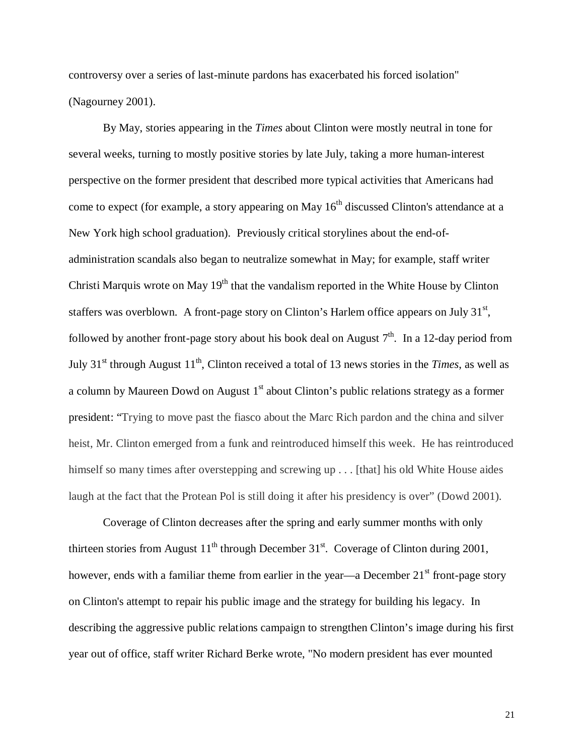controversy over a series of last-minute pardons has exacerbated his forced isolation" (Nagourney 2001).

By May, stories appearing in the *Times* about Clinton were mostly neutral in tone for several weeks, turning to mostly positive stories by late July, taking a more human-interest perspective on the former president that described more typical activities that Americans had come to expect (for example, a story appearing on May  $16<sup>th</sup>$  discussed Clinton's attendance at a New York high school graduation). Previously critical storylines about the end-ofadministration scandals also began to neutralize somewhat in May; for example, staff writer Christi Marquis wrote on May  $19<sup>th</sup>$  that the vandalism reported in the White House by Clinton staffers was overblown. A front-page story on Clinton's Harlem office appears on July  $31<sup>st</sup>$ , followed by another front-page story about his book deal on August  $7<sup>th</sup>$ . In a 12-day period from July 31st through August 11th, Clinton received a total of 13 news stories in the *Times*, as well as a column by Maureen Dowd on August  $1<sup>st</sup>$  about Clinton's public relations strategy as a former president: "Trying to move past the fiasco about the Marc Rich pardon and the china and silver heist, Mr. Clinton emerged from a funk and reintroduced himself this week. He has reintroduced himself so many times after overstepping and screwing up . . . [that] his old White House aides laugh at the fact that the Protean Pol is still doing it after his presidency is over" (Dowd 2001).

Coverage of Clinton decreases after the spring and early summer months with only thirteen stories from August  $11<sup>th</sup>$  through December  $31<sup>st</sup>$ . Coverage of Clinton during 2001, however, ends with a familiar theme from earlier in the year—a December  $21<sup>st</sup>$  front-page story on Clinton's attempt to repair his public image and the strategy for building his legacy. In describing the aggressive public relations campaign to strengthen Clinton's image during his first year out of office, staff writer Richard Berke wrote, "No modern president has ever mounted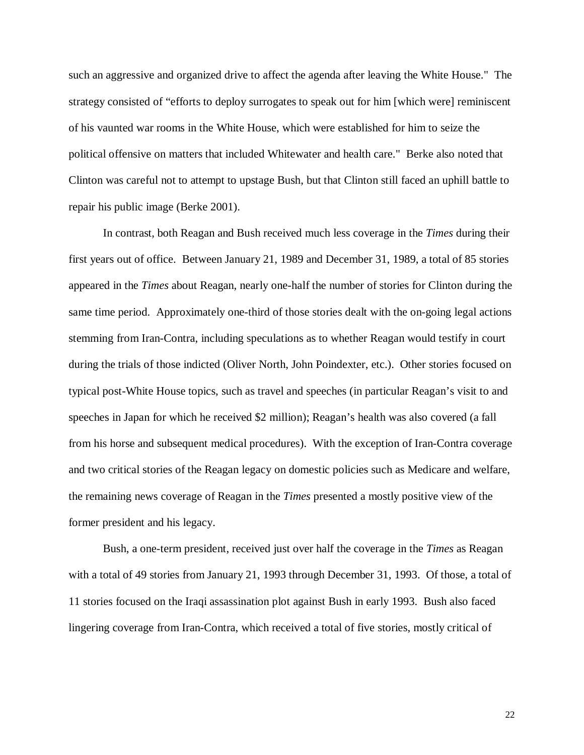such an aggressive and organized drive to affect the agenda after leaving the White House." The strategy consisted of "efforts to deploy surrogates to speak out for him [which were] reminiscent of his vaunted war rooms in the White House, which were established for him to seize the political offensive on matters that included Whitewater and health care." Berke also noted that Clinton was careful not to attempt to upstage Bush, but that Clinton still faced an uphill battle to repair his public image (Berke 2001).

In contrast, both Reagan and Bush received much less coverage in the *Times* during their first years out of office. Between January 21, 1989 and December 31, 1989, a total of 85 stories appeared in the *Times* about Reagan, nearly one-half the number of stories for Clinton during the same time period. Approximately one-third of those stories dealt with the on-going legal actions stemming from Iran-Contra, including speculations as to whether Reagan would testify in court during the trials of those indicted (Oliver North, John Poindexter, etc.). Other stories focused on typical post-White House topics, such as travel and speeches (in particular Reagan's visit to and speeches in Japan for which he received \$2 million); Reagan's health was also covered (a fall from his horse and subsequent medical procedures). With the exception of Iran-Contra coverage and two critical stories of the Reagan legacy on domestic policies such as Medicare and welfare, the remaining news coverage of Reagan in the *Times* presented a mostly positive view of the former president and his legacy.

Bush, a one-term president, received just over half the coverage in the *Times* as Reagan with a total of 49 stories from January 21, 1993 through December 31, 1993. Of those, a total of 11 stories focused on the Iraqi assassination plot against Bush in early 1993. Bush also faced lingering coverage from Iran-Contra, which received a total of five stories, mostly critical of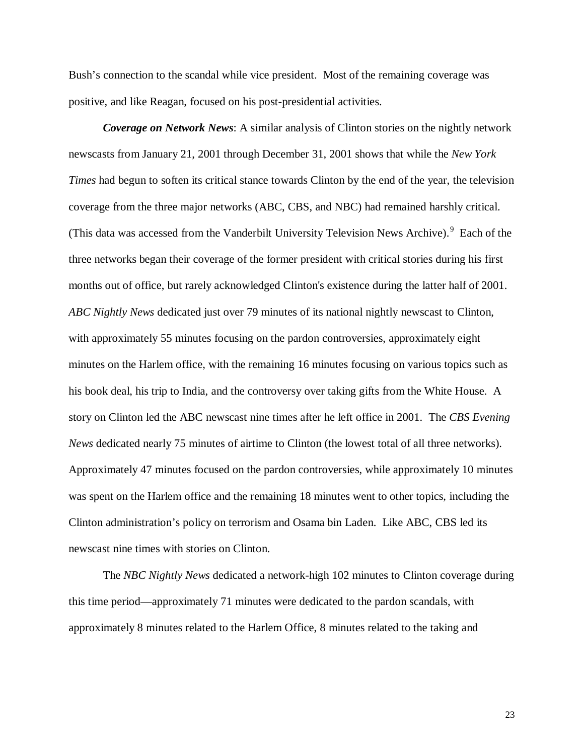Bush's connection to the scandal while vice president. Most of the remaining coverage was positive, and like Reagan, focused on his post-presidential activities.

*Coverage on Network News*: A similar analysis of Clinton stories on the nightly network newscasts from January 21, 2001 through December 31, 2001 shows that while the *New York Times* had begun to soften its critical stance towards Clinton by the end of the year, the television coverage from the three major networks (ABC, CBS, and NBC) had remained harshly critical. (This data was accessed from the Vanderbilt University Television News Archive).<sup>[9](#page-24-0)</sup> Each of the three networks began their coverage of the former president with critical stories during his first months out of office, but rarely acknowledged Clinton's existence during the latter half of 2001. *ABC Nightly News* dedicated just over 79 minutes of its national nightly newscast to Clinton, with approximately 55 minutes focusing on the pardon controversies, approximately eight minutes on the Harlem office, with the remaining 16 minutes focusing on various topics such as his book deal, his trip to India, and the controversy over taking gifts from the White House. A story on Clinton led the ABC newscast nine times after he left office in 2001. The *CBS Evening News* dedicated nearly 75 minutes of airtime to Clinton (the lowest total of all three networks). Approximately 47 minutes focused on the pardon controversies, while approximately 10 minutes was spent on the Harlem office and the remaining 18 minutes went to other topics, including the Clinton administration's policy on terrorism and Osama bin Laden. Like ABC, CBS led its newscast nine times with stories on Clinton.

<span id="page-24-0"></span>The *NBC Nightly News* dedicated a network-high 102 minutes to Clinton coverage during this time period—approximately 71 minutes were dedicated to the pardon scandals, with approximately 8 minutes related to the Harlem Office, 8 minutes related to the taking and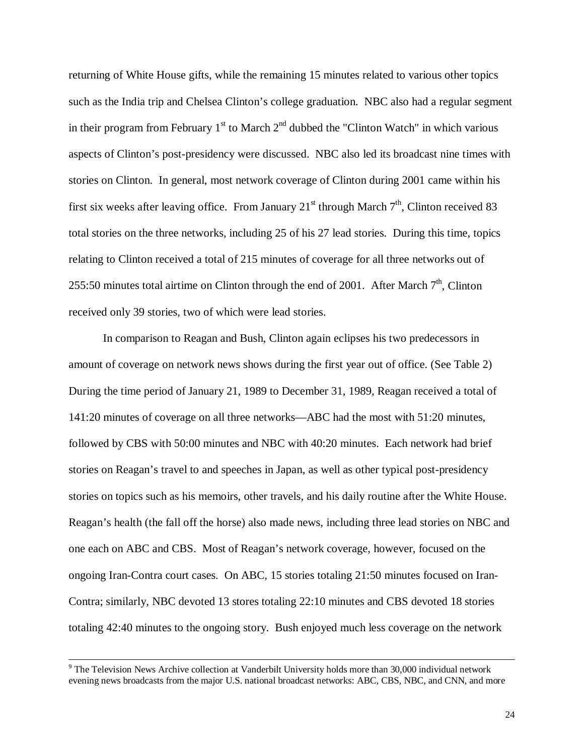returning of White House gifts, while the remaining 15 minutes related to various other topics such as the India trip and Chelsea Clinton's college graduation. NBC also had a regular segment in their program from February  $1<sup>st</sup>$  to March  $2<sup>nd</sup>$  dubbed the "Clinton Watch" in which various aspects of Clinton's post-presidency were discussed. NBC also led its broadcast nine times with stories on Clinton. In general, most network coverage of Clinton during 2001 came within his first six weeks after leaving office. From January 21<sup>st</sup> through March  $7<sup>th</sup>$ , Clinton received 83 total stories on the three networks, including 25 of his 27 lead stories. During this time, topics relating to Clinton received a total of 215 minutes of coverage for all three networks out of 255:50 minutes total airtime on Clinton through the end of 2001. After March  $7<sup>th</sup>$ , Clinton received only 39 stories, two of which were lead stories.

In comparison to Reagan and Bush, Clinton again eclipses his two predecessors in amount of coverage on network news shows during the first year out of office. (See Table 2) During the time period of January 21, 1989 to December 31, 1989, Reagan received a total of 141:20 minutes of coverage on all three networks—ABC had the most with 51:20 minutes, followed by CBS with 50:00 minutes and NBC with 40:20 minutes. Each network had brief stories on Reagan's travel to and speeches in Japan, as well as other typical post-presidency stories on topics such as his memoirs, other travels, and his daily routine after the White House. Reagan's health (the fall off the horse) also made news, including three lead stories on NBC and one each on ABC and CBS. Most of Reagan's network coverage, however, focused on the ongoing Iran-Contra court cases. On ABC, 15 stories totaling 21:50 minutes focused on Iran-Contra; similarly, NBC devoted 13 stores totaling 22:10 minutes and CBS devoted 18 stories totaling 42:40 minutes to the ongoing story. Bush enjoyed much less coverage on the network

<sup>&</sup>lt;sup>9</sup> The Television News Archive collection at Vanderbilt University holds more than 30,000 individual network evening news broadcasts from the major U.S. national broadcast networks: ABC, CBS, NBC, and CNN, and more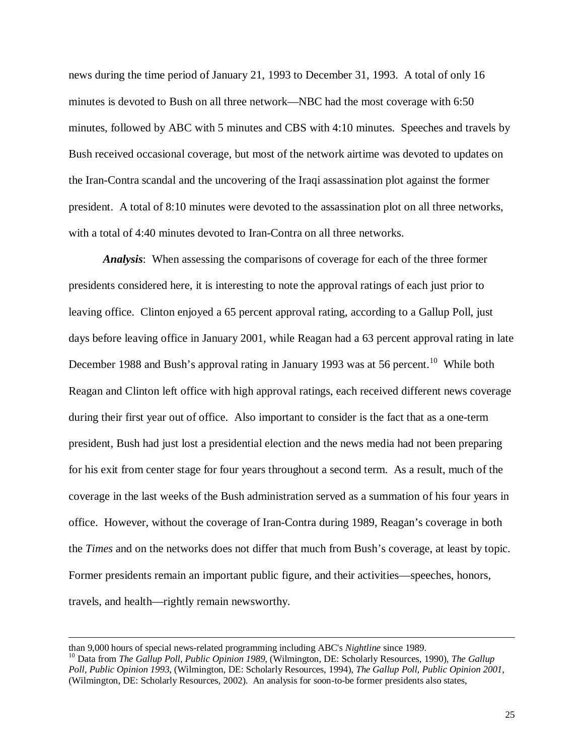news during the time period of January 21, 1993 to December 31, 1993. A total of only 16 minutes is devoted to Bush on all three network—NBC had the most coverage with 6:50 minutes, followed by ABC with 5 minutes and CBS with 4:10 minutes. Speeches and travels by Bush received occasional coverage, but most of the network airtime was devoted to updates on the Iran-Contra scandal and the uncovering of the Iraqi assassination plot against the former president. A total of 8:10 minutes were devoted to the assassination plot on all three networks, with a total of 4:40 minutes devoted to Iran-Contra on all three networks.

*Analysis*: When assessing the comparisons of coverage for each of the three former presidents considered here, it is interesting to note the approval ratings of each just prior to leaving office. Clinton enjoyed a 65 percent approval rating, according to a Gallup Poll, just days before leaving office in January 2001, while Reagan had a 63 percent approval rating in late December 1988 and Bush's approval rating in January 1993 was at 56 percent.<sup>10</sup> While both Reagan and Clinton left office with high approval ratings, each received different news coverage during their first year out of office. Also important to consider is the fact that as a one-term president, Bush had just lost a presidential election and the news media had not been preparing for his exit from center stage for four years throughout a second term. As a result, much of the coverage in the last weeks of the Bush administration served as a summation of his four years in office. However, without the coverage of Iran-Contra during 1989, Reagan's coverage in both the *Times* and on the networks does not differ that much from Bush's coverage, at least by topic. Former presidents remain an important public figure, and their activities—speeches, honors, travels, and health—rightly remain newsworthy.

 $\overline{a}$ 

<span id="page-26-0"></span>than 9,000 hours of special news-related programming including ABC's *Nightline* since 1989.<br><sup>10</sup> Data from *The Gallup Poll, Public Opinion 1989*, (Wilmington, DE: Scholarly Resources, 1990), *The Gallup Poll, Public Opinion 1993*, (Wilmington, DE: Scholarly Resources, 1994), *The Gallup Poll, Public Opinion 2001*, (Wilmington, DE: Scholarly Resources, 2002). An analysis for soon-to-be former presidents also states,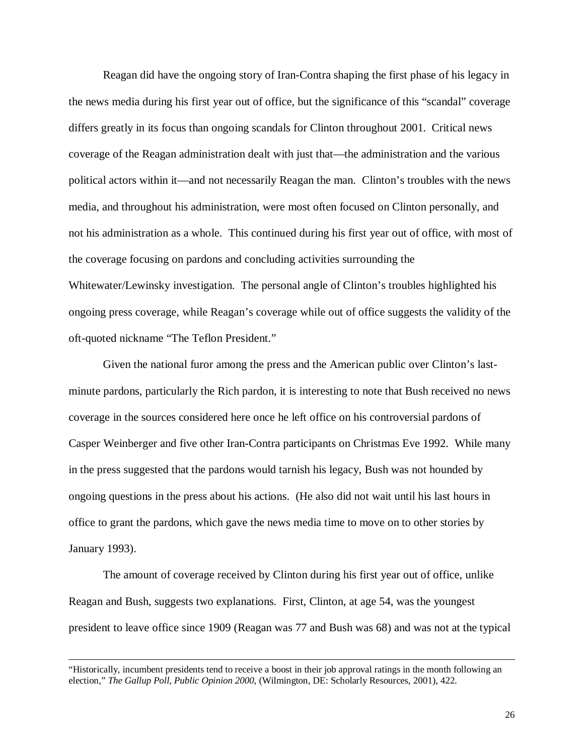Reagan did have the ongoing story of Iran-Contra shaping the first phase of his legacy in the news media during his first year out of office, but the significance of this "scandal" coverage differs greatly in its focus than ongoing scandals for Clinton throughout 2001. Critical news coverage of the Reagan administration dealt with just that—the administration and the various political actors within it—and not necessarily Reagan the man. Clinton's troubles with the news media, and throughout his administration, were most often focused on Clinton personally, and not his administration as a whole. This continued during his first year out of office, with most of the coverage focusing on pardons and concluding activities surrounding the Whitewater/Lewinsky investigation. The personal angle of Clinton's troubles highlighted his ongoing press coverage, while Reagan's coverage while out of office suggests the validity of the oft-quoted nickname "The Teflon President."

Given the national furor among the press and the American public over Clinton's lastminute pardons, particularly the Rich pardon, it is interesting to note that Bush received no news coverage in the sources considered here once he left office on his controversial pardons of Casper Weinberger and five other Iran-Contra participants on Christmas Eve 1992. While many in the press suggested that the pardons would tarnish his legacy, Bush was not hounded by ongoing questions in the press about his actions. (He also did not wait until his last hours in office to grant the pardons, which gave the news media time to move on to other stories by January 1993).

The amount of coverage received by Clinton during his first year out of office, unlike Reagan and Bush, suggests two explanations. First, Clinton, at age 54, was the youngest president to leave office since 1909 (Reagan was 77 and Bush was 68) and was not at the typical

 $\overline{a}$ 

<sup>&</sup>quot;Historically, incumbent presidents tend to receive a boost in their job approval ratings in the month following an election," *The Gallup Poll, Public Opinion 2000*, (Wilmington, DE: Scholarly Resources, 2001), 422.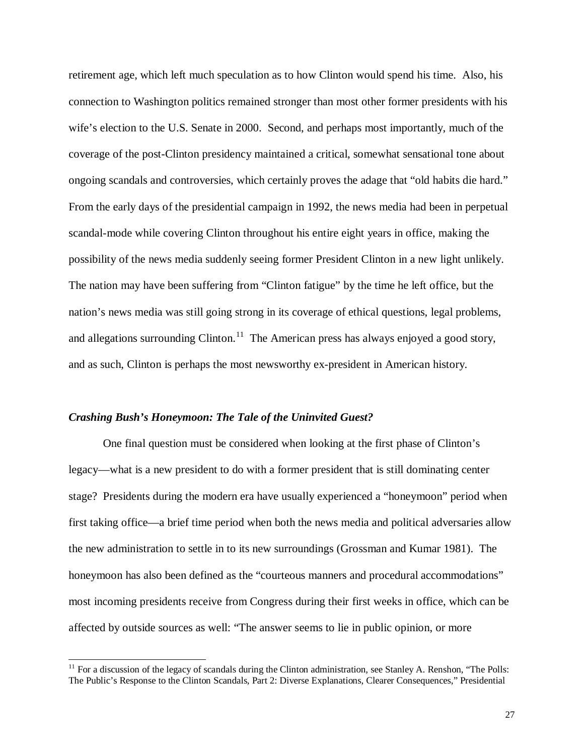retirement age, which left much speculation as to how Clinton would spend his time. Also, his connection to Washington politics remained stronger than most other former presidents with his wife's election to the U.S. Senate in 2000. Second, and perhaps most importantly, much of the coverage of the post-Clinton presidency maintained a critical, somewhat sensational tone about ongoing scandals and controversies, which certainly proves the adage that "old habits die hard." From the early days of the presidential campaign in 1992, the news media had been in perpetual scandal-mode while covering Clinton throughout his entire eight years in office, making the possibility of the news media suddenly seeing former President Clinton in a new light unlikely. The nation may have been suffering from "Clinton fatigue" by the time he left office, but the nation's news media was still going strong in its coverage of ethical questions, legal problems, and allegations surrounding Clinton.<sup>11</sup> The American press has always enjoyed a good story, and as such, Clinton is perhaps the most newsworthy ex-president in American history.

#### *Crashing Bush's Honeymoon: The Tale of the Uninvited Guest?*

One final question must be considered when looking at the first phase of Clinton's legacy—what is a new president to do with a former president that is still dominating center stage? Presidents during the modern era have usually experienced a "honeymoon" period when first taking office—a brief time period when both the news media and political adversaries allow the new administration to settle in to its new surroundings (Grossman and Kumar 1981). The honeymoon has also been defined as the "courteous manners and procedural accommodations" most incoming presidents receive from Congress during their first weeks in office, which can be affected by outside sources as well: "The answer seems to lie in public opinion, or more

<span id="page-28-0"></span> $11$  For a discussion of the legacy of scandals during the Clinton administration, see Stanley A. Renshon, "The Polls: The Public's Response to the Clinton Scandals, Part 2: Diverse Explanations, Clearer Consequences," Presidential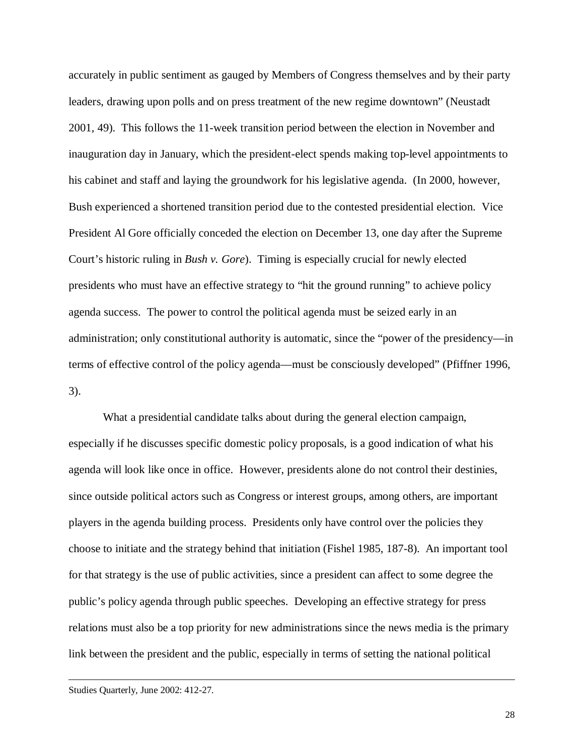accurately in public sentiment as gauged by Members of Congress themselves and by their party leaders, drawing upon polls and on press treatment of the new regime downtown" (Neustadt 2001, 49). This follows the 11-week transition period between the election in November and inauguration day in January, which the president-elect spends making top-level appointments to his cabinet and staff and laying the groundwork for his legislative agenda. (In 2000, however, Bush experienced a shortened transition period due to the contested presidential election. Vice President Al Gore officially conceded the election on December 13, one day after the Supreme Court's historic ruling in *Bush v. Gore*). Timing is especially crucial for newly elected presidents who must have an effective strategy to "hit the ground running" to achieve policy agenda success. The power to control the political agenda must be seized early in an administration; only constitutional authority is automatic, since the "power of the presidency—in terms of effective control of the policy agenda—must be consciously developed" (Pfiffner 1996, 3).

What a presidential candidate talks about during the general election campaign, especially if he discusses specific domestic policy proposals, is a good indication of what his agenda will look like once in office. However, presidents alone do not control their destinies, since outside political actors such as Congress or interest groups, among others, are important players in the agenda building process. Presidents only have control over the policies they choose to initiate and the strategy behind that initiation (Fishel 1985, 187-8). An important tool for that strategy is the use of public activities, since a president can affect to some degree the public's policy agenda through public speeches. Developing an effective strategy for press relations must also be a top priority for new administrations since the news media is the primary link between the president and the public, especially in terms of setting the national political

 $\overline{a}$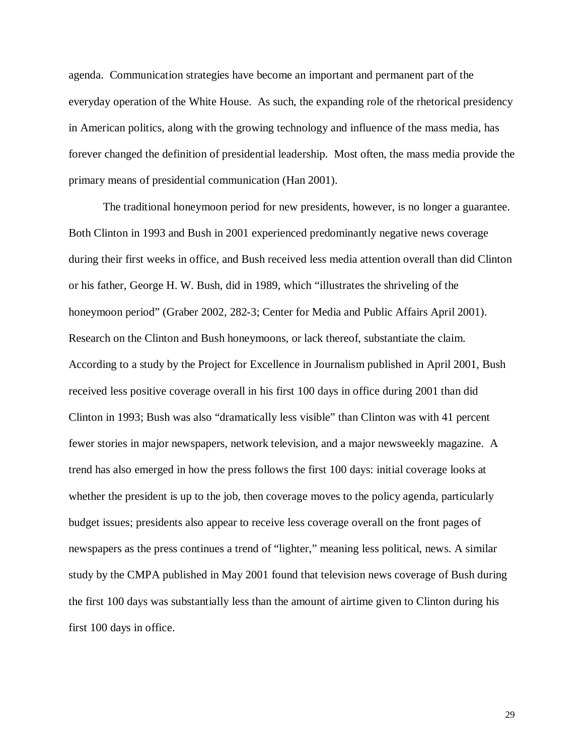agenda. Communication strategies have become an important and permanent part of the everyday operation of the White House. As such, the expanding role of the rhetorical presidency in American politics, along with the growing technology and influence of the mass media, has forever changed the definition of presidential leadership. Most often, the mass media provide the primary means of presidential communication (Han 2001).

The traditional honeymoon period for new presidents, however, is no longer a guarantee. Both Clinton in 1993 and Bush in 2001 experienced predominantly negative news coverage during their first weeks in office, and Bush received less media attention overall than did Clinton or his father, George H. W. Bush, did in 1989, which "illustrates the shriveling of the honeymoon period" (Graber 2002, 282-3; Center for Media and Public Affairs April 2001). Research on the Clinton and Bush honeymoons, or lack thereof, substantiate the claim. According to a study by the Project for Excellence in Journalism published in April 2001, Bush received less positive coverage overall in his first 100 days in office during 2001 than did Clinton in 1993; Bush was also "dramatically less visible" than Clinton was with 41 percent fewer stories in major newspapers, network television, and a major newsweekly magazine. A trend has also emerged in how the press follows the first 100 days: initial coverage looks at whether the president is up to the job, then coverage moves to the policy agenda, particularly budget issues; presidents also appear to receive less coverage overall on the front pages of newspapers as the press continues a trend of "lighter," meaning less political, news. A similar study by the CMPA published in May 2001 found that television news coverage of Bush during the first 100 days was substantially less than the amount of airtime given to Clinton during his first 100 days in office.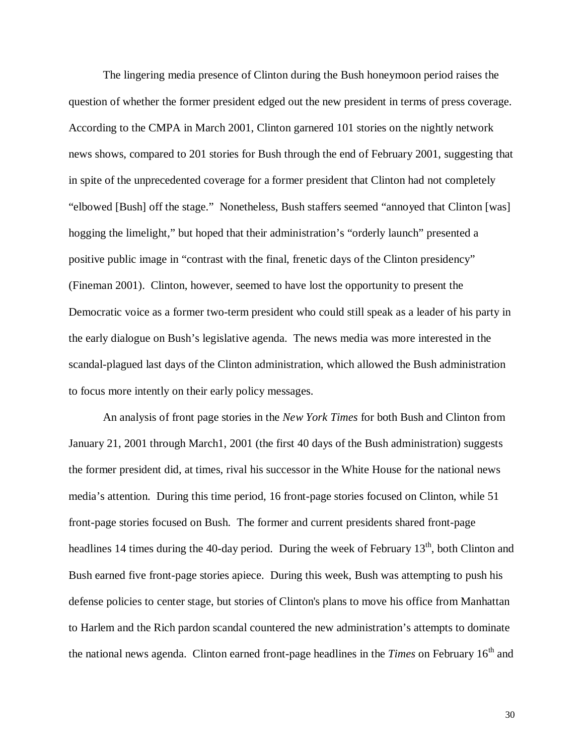The lingering media presence of Clinton during the Bush honeymoon period raises the question of whether the former president edged out the new president in terms of press coverage. According to the CMPA in March 2001, Clinton garnered 101 stories on the nightly network news shows, compared to 201 stories for Bush through the end of February 2001, suggesting that in spite of the unprecedented coverage for a former president that Clinton had not completely "elbowed [Bush] off the stage." Nonetheless, Bush staffers seemed "annoyed that Clinton [was] hogging the limelight," but hoped that their administration's "orderly launch" presented a positive public image in "contrast with the final, frenetic days of the Clinton presidency" (Fineman 2001). Clinton, however, seemed to have lost the opportunity to present the Democratic voice as a former two-term president who could still speak as a leader of his party in the early dialogue on Bush's legislative agenda. The news media was more interested in the scandal-plagued last days of the Clinton administration, which allowed the Bush administration to focus more intently on their early policy messages.

An analysis of front page stories in the *New York Times* for both Bush and Clinton from January 21, 2001 through March1, 2001 (the first 40 days of the Bush administration) suggests the former president did, at times, rival his successor in the White House for the national news media's attention. During this time period, 16 front-page stories focused on Clinton, while 51 front-page stories focused on Bush. The former and current presidents shared front-page headlines 14 times during the 40-day period. During the week of February 13<sup>th</sup>, both Clinton and Bush earned five front-page stories apiece. During this week, Bush was attempting to push his defense policies to center stage, but stories of Clinton's plans to move his office from Manhattan to Harlem and the Rich pardon scandal countered the new administration's attempts to dominate the national news agenda. Clinton earned front-page headlines in the *Times* on February 16<sup>th</sup> and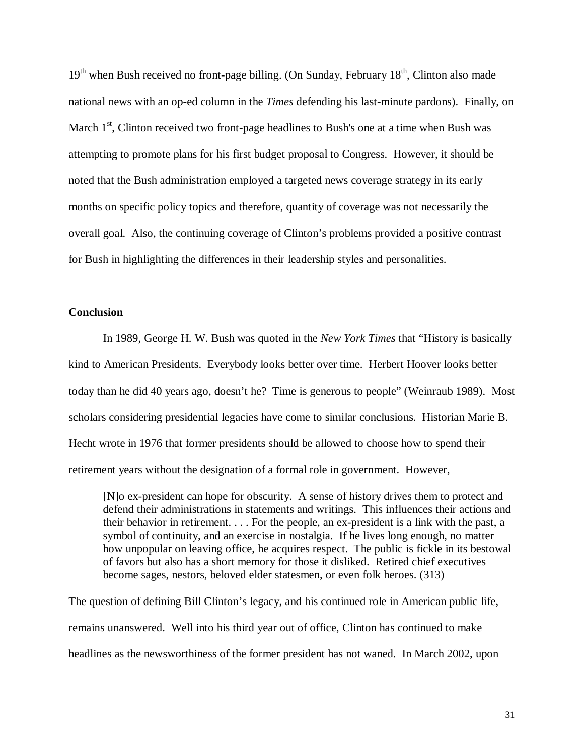$19<sup>th</sup>$  when Bush received no front-page billing. (On Sunday, February 18<sup>th</sup>, Clinton also made national news with an op-ed column in the *Times* defending his last-minute pardons). Finally, on March  $1<sup>st</sup>$ , Clinton received two front-page headlines to Bush's one at a time when Bush was attempting to promote plans for his first budget proposal to Congress. However, it should be noted that the Bush administration employed a targeted news coverage strategy in its early months on specific policy topics and therefore, quantity of coverage was not necessarily the overall goal. Also, the continuing coverage of Clinton's problems provided a positive contrast for Bush in highlighting the differences in their leadership styles and personalities.

#### **Conclusion**

In 1989, George H. W. Bush was quoted in the *New York Times* that "History is basically kind to American Presidents. Everybody looks better over time. Herbert Hoover looks better today than he did 40 years ago, doesn't he? Time is generous to people" (Weinraub 1989). Most scholars considering presidential legacies have come to similar conclusions. Historian Marie B. Hecht wrote in 1976 that former presidents should be allowed to choose how to spend their retirement years without the designation of a formal role in government. However,

[N]o ex-president can hope for obscurity. A sense of history drives them to protect and defend their administrations in statements and writings. This influences their actions and their behavior in retirement. . . . For the people, an ex-president is a link with the past, a symbol of continuity, and an exercise in nostalgia. If he lives long enough, no matter how unpopular on leaving office, he acquires respect. The public is fickle in its bestowal of favors but also has a short memory for those it disliked. Retired chief executives become sages, nestors, beloved elder statesmen, or even folk heroes. (313)

The question of defining Bill Clinton's legacy, and his continued role in American public life, remains unanswered. Well into his third year out of office, Clinton has continued to make headlines as the newsworthiness of the former president has not waned. In March 2002, upon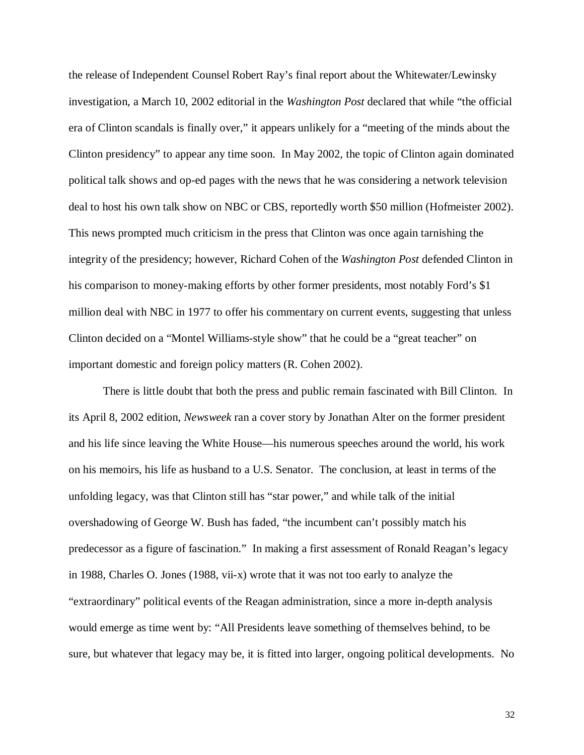the release of Independent Counsel Robert Ray's final report about the Whitewater/Lewinsky investigation, a March 10, 2002 editorial in the *Washington Post* declared that while "the official era of Clinton scandals is finally over," it appears unlikely for a "meeting of the minds about the Clinton presidency" to appear any time soon. In May 2002, the topic of Clinton again dominated political talk shows and op-ed pages with the news that he was considering a network television deal to host his own talk show on NBC or CBS, reportedly worth \$50 million (Hofmeister 2002). This news prompted much criticism in the press that Clinton was once again tarnishing the integrity of the presidency; however, Richard Cohen of the *Washington Post* defended Clinton in his comparison to money-making efforts by other former presidents, most notably Ford's \$1 million deal with NBC in 1977 to offer his commentary on current events, suggesting that unless Clinton decided on a "Montel Williams-style show" that he could be a "great teacher" on important domestic and foreign policy matters (R. Cohen 2002).

There is little doubt that both the press and public remain fascinated with Bill Clinton. In its April 8, 2002 edition, *Newsweek* ran a cover story by Jonathan Alter on the former president and his life since leaving the White House—his numerous speeches around the world, his work on his memoirs, his life as husband to a U.S. Senator. The conclusion, at least in terms of the unfolding legacy, was that Clinton still has "star power," and while talk of the initial overshadowing of George W. Bush has faded, "the incumbent can't possibly match his predecessor as a figure of fascination." In making a first assessment of Ronald Reagan's legacy in 1988, Charles O. Jones (1988, vii-x) wrote that it was not too early to analyze the "extraordinary" political events of the Reagan administration, since a more in-depth analysis would emerge as time went by: "All Presidents leave something of themselves behind, to be sure, but whatever that legacy may be, it is fitted into larger, ongoing political developments. No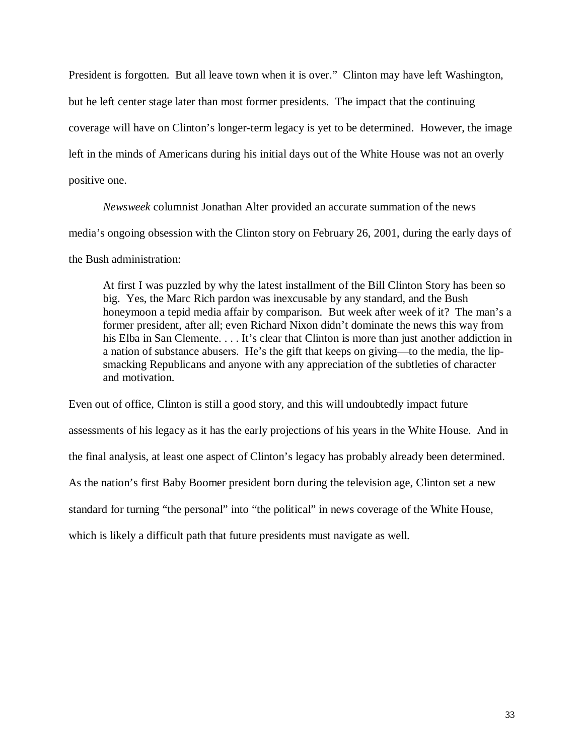President is forgotten. But all leave town when it is over." Clinton may have left Washington, but he left center stage later than most former presidents. The impact that the continuing coverage will have on Clinton's longer-term legacy is yet to be determined. However, the image left in the minds of Americans during his initial days out of the White House was not an overly positive one.

*Newsweek* columnist Jonathan Alter provided an accurate summation of the news media's ongoing obsession with the Clinton story on February 26, 2001, during the early days of the Bush administration:

At first I was puzzled by why the latest installment of the Bill Clinton Story has been so big. Yes, the Marc Rich pardon was inexcusable by any standard, and the Bush honeymoon a tepid media affair by comparison. But week after week of it? The man's a former president, after all; even Richard Nixon didn't dominate the news this way from his Elba in San Clemente. . . . It's clear that Clinton is more than just another addiction in a nation of substance abusers. He's the gift that keeps on giving—to the media, the lipsmacking Republicans and anyone with any appreciation of the subtleties of character and motivation.

Even out of office, Clinton is still a good story, and this will undoubtedly impact future assessments of his legacy as it has the early projections of his years in the White House. And in the final analysis, at least one aspect of Clinton's legacy has probably already been determined. As the nation's first Baby Boomer president born during the television age, Clinton set a new standard for turning "the personal" into "the political" in news coverage of the White House, which is likely a difficult path that future presidents must navigate as well.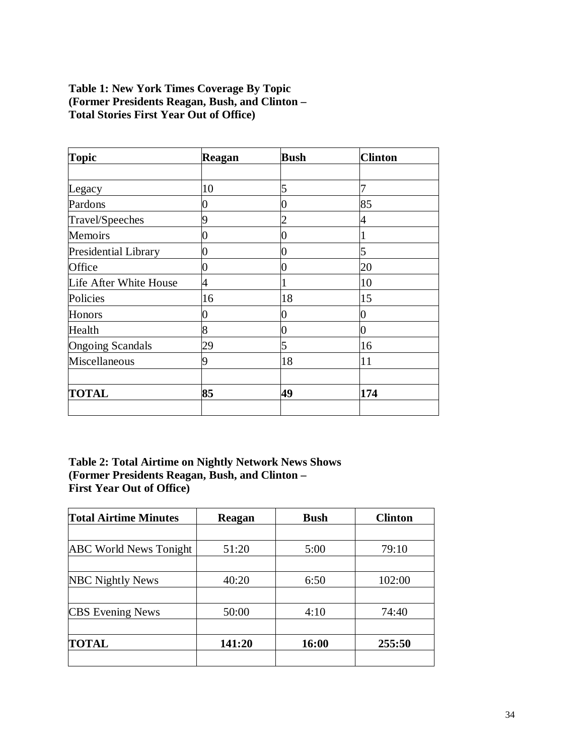# **Table 1: New York Times Coverage By Topic (Former Presidents Reagan, Bush, and Clinton – Total Stories First Year Out of Office)**

| <b>Topic</b>                | Reagan | <b>Bush</b> | <b>Clinton</b> |
|-----------------------------|--------|-------------|----------------|
|                             |        |             |                |
| Legacy                      | 10     | 5           |                |
| Pardons                     | U      |             | 85             |
| Travel/Speeches             | 9      |             | 4              |
| <b>Memoirs</b>              | 0      |             |                |
| <b>Presidential Library</b> |        |             |                |
| Office                      |        |             | 20             |
| Life After White House      | 4      |             | 10             |
| Policies                    | 16     | 18          | 15             |
| Honors                      | U      |             | 0              |
| Health                      | 8      |             | 0              |
| <b>Ongoing Scandals</b>     | 29     | 5           | 16             |
| Miscellaneous               | 9      | 18          | 11             |
|                             |        |             |                |
| <b>TOTAL</b>                | 85     | 49          | 174            |

# **Table 2: Total Airtime on Nightly Network News Shows (Former Presidents Reagan, Bush, and Clinton – First Year Out of Office)**

| <b>Total Airtime Minutes</b>  | Reagan | <b>Bush</b> | <b>Clinton</b> |
|-------------------------------|--------|-------------|----------------|
|                               |        |             |                |
| <b>ABC World News Tonight</b> | 51:20  | 5:00        | 79:10          |
|                               |        |             |                |
| <b>NBC Nightly News</b>       | 40:20  | 6:50        | 102:00         |
|                               |        |             |                |
| <b>CBS</b> Evening News       | 50:00  | 4:10        | 74:40          |
|                               |        |             |                |
| <b>TOTAL</b>                  | 141:20 | 16:00       | 255:50         |
|                               |        |             |                |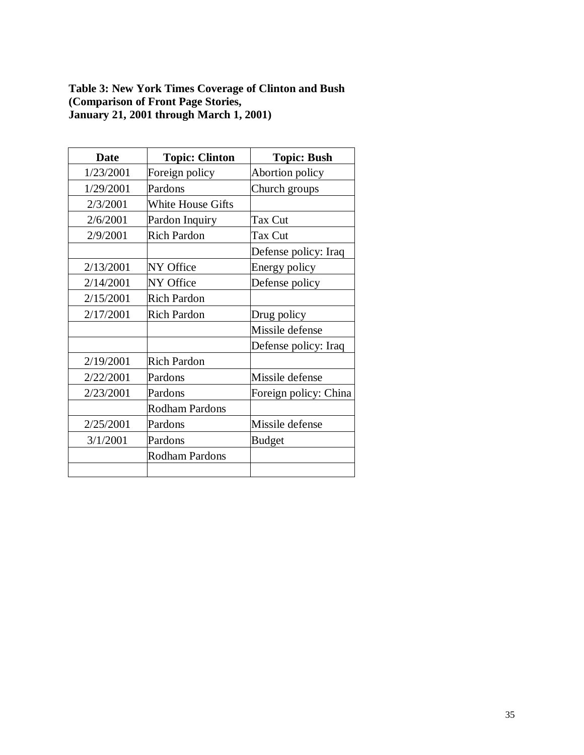# **Table 3: New York Times Coverage of Clinton and Bush (Comparison of Front Page Stories, January 21, 2001 through March 1, 2001)**

| <b>Date</b> | <b>Topic: Clinton</b>    | <b>Topic: Bush</b>    |
|-------------|--------------------------|-----------------------|
| 1/23/2001   | Foreign policy           | Abortion policy       |
| 1/29/2001   | Pardons                  | Church groups         |
| 2/3/2001    | <b>White House Gifts</b> |                       |
| 2/6/2001    | Pardon Inquiry           | Tax Cut               |
| 2/9/2001    | <b>Rich Pardon</b>       | Tax Cut               |
|             |                          | Defense policy: Iraq  |
| 2/13/2001   | NY Office                | Energy policy         |
| 2/14/2001   | NY Office                | Defense policy        |
| 2/15/2001   | <b>Rich Pardon</b>       |                       |
| 2/17/2001   | Rich Pardon              | Drug policy           |
|             |                          | Missile defense       |
|             |                          | Defense policy: Iraq  |
| 2/19/2001   | <b>Rich Pardon</b>       |                       |
| 2/22/2001   | Pardons                  | Missile defense       |
| 2/23/2001   | Pardons                  | Foreign policy: China |
|             | <b>Rodham Pardons</b>    |                       |
| 2/25/2001   | Pardons                  | Missile defense       |
| 3/1/2001    | Pardons                  | <b>Budget</b>         |
|             | <b>Rodham Pardons</b>    |                       |
|             |                          |                       |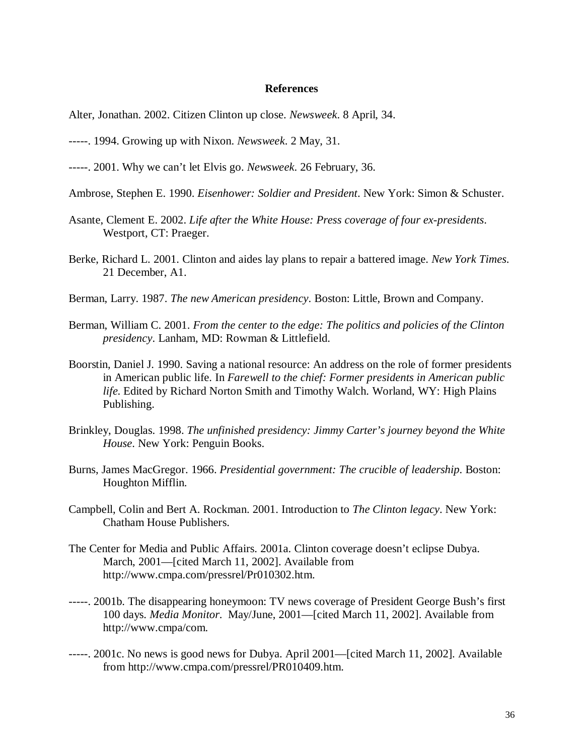#### **References**

- Alter, Jonathan. 2002. Citizen Clinton up close. *Newsweek*. 8 April, 34.
- -----. 1994. Growing up with Nixon. *Newsweek*. 2 May, 31.
- -----. 2001. Why we can't let Elvis go. *Newsweek*. 26 February, 36.
- Ambrose, Stephen E. 1990. *Eisenhower: Soldier and President*. New York: Simon & Schuster.
- Asante, Clement E. 2002. *Life after the White House: Press coverage of four ex-presidents*. Westport, CT: Praeger.
- Berke, Richard L. 2001. Clinton and aides lay plans to repair a battered image. *New York Times*. 21 December, A1.
- Berman, Larry. 1987. *The new American presidency*. Boston: Little, Brown and Company.
- Berman, William C. 2001. *From the center to the edge: The politics and policies of the Clinton presidency*. Lanham, MD: Rowman & Littlefield.
- Boorstin, Daniel J. 1990. Saving a national resource: An address on the role of former presidents in American public life. In *Farewell to the chief: Former presidents in American public life*. Edited by Richard Norton Smith and Timothy Walch. Worland, WY: High Plains Publishing.
- Brinkley, Douglas. 1998. *The unfinished presidency: Jimmy Carter's journey beyond the White House*. New York: Penguin Books.
- Burns, James MacGregor. 1966. *Presidential government: The crucible of leadership*. Boston: Houghton Mifflin.
- Campbell, Colin and Bert A. Rockman. 2001. Introduction to *The Clinton legacy*. New York: Chatham House Publishers.
- The Center for Media and Public Affairs. 2001a. Clinton coverage doesn't eclipse Dubya. March, 2001—[cited March 11, 2002]. Available from [http://www.cmpa.com/pressrel/Pr010302.](http://www.cmpa.com/pressrel/Pr010302)htm.
- -----. 2001b. The disappearing honeymoon: TV news coverage of President George Bush's first 100 days. *Media Monitor*. May/June, 2001—[cited March 11, 2002]. Available from http://www.cmpa/com.
- -----. 2001c. No news is good news for Dubya. April 2001—[cited March 11, 2002]. Available from [http://www.cmpa.com/pressrel/PR010409.htm.](http://www.cmpa.com/pressrel/PR010409.htm)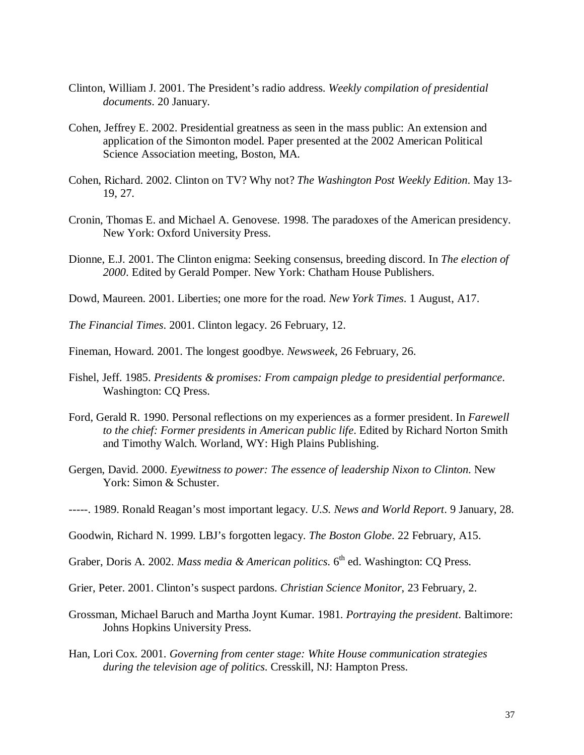- Clinton, William J. 2001. The President's radio address. *Weekly compilation of presidential documents*. 20 January.
- Cohen, Jeffrey E. 2002. Presidential greatness as seen in the mass public: An extension and application of the Simonton model. Paper presented at the 2002 American Political Science Association meeting, Boston, MA.
- Cohen, Richard. 2002. Clinton on TV? Why not? *The Washington Post Weekly Edition*. May 13- 19, 27.
- Cronin, Thomas E. and Michael A. Genovese. 1998. The paradoxes of the American presidency. New York: Oxford University Press.
- Dionne, E.J. 2001. The Clinton enigma: Seeking consensus, breeding discord. In *The election of 2000*. Edited by Gerald Pomper. New York: Chatham House Publishers.
- Dowd, Maureen. 2001. Liberties; one more for the road. *New York Times*. 1 August, A17.
- *The Financial Times*. 2001. Clinton legacy. 26 February, 12.
- Fineman, Howard. 2001. The longest goodbye. *Newsweek*, 26 February, 26.
- Fishel, Jeff. 1985. *Presidents & promises: From campaign pledge to presidential performance*. Washington: CQ Press.
- Ford, Gerald R. 1990. Personal reflections on my experiences as a former president. In *Farewell to the chief: Former presidents in American public life*. Edited by Richard Norton Smith and Timothy Walch. Worland, WY: High Plains Publishing.
- Gergen, David. 2000. *Eyewitness to power: The essence of leadership Nixon to Clinton*. New York: Simon & Schuster.
- -----. 1989. Ronald Reagan's most important legacy. *U.S. News and World Report*. 9 January, 28.
- Goodwin, Richard N. 1999. LBJ's forgotten legacy. *The Boston Globe*. 22 February, A15.
- Graber, Doris A. 2002. *Mass media & American politics*. 6<sup>th</sup> ed. Washington: CQ Press.
- Grier, Peter. 2001. Clinton's suspect pardons. *Christian Science Monitor*, 23 February, 2.
- Grossman, Michael Baruch and Martha Joynt Kumar. 1981. *Portraying the president*. Baltimore: Johns Hopkins University Press.
- Han, Lori Cox. 2001. *Governing from center stage: White House communication strategies during the television age of politics*. Cresskill, NJ: Hampton Press.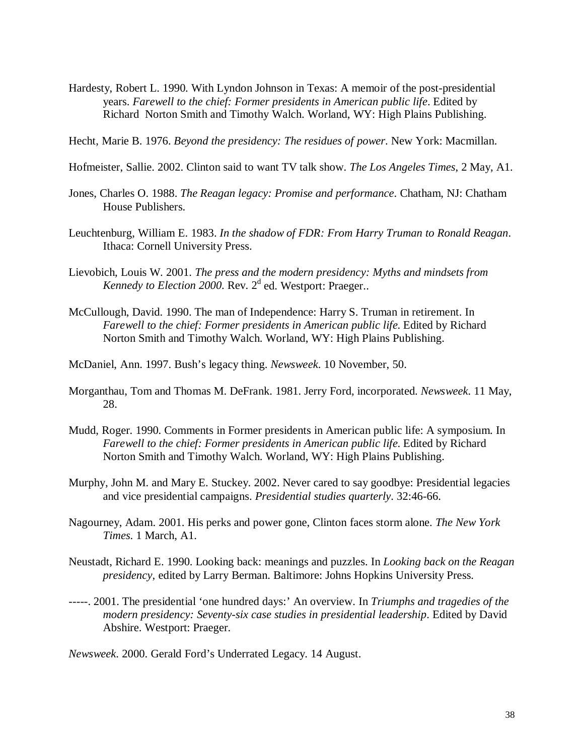Hardesty, Robert L. 1990. With Lyndon Johnson in Texas: A memoir of the post-presidential years. *Farewell to the chief: Former presidents in American public life*. Edited by Richard Norton Smith and Timothy Walch. Worland, WY: High Plains Publishing.

Hecht, Marie B. 1976. *Beyond the presidency: The residues of power*. New York: Macmillan.

- Hofmeister, Sallie. 2002. Clinton said to want TV talk show. *The Los Angeles Times*, 2 May, A1.
- Jones, Charles O. 1988. *The Reagan legacy: Promise and performance*. Chatham, NJ: Chatham House Publishers.
- Leuchtenburg, William E. 1983. *In the shadow of FDR: From Harry Truman to Ronald Reagan*. Ithaca: Cornell University Press.
- Lievobich, Louis W. 2001. *The press and the modern presidency: Myths and mindsets from Kennedy to Election 2000.* Rev. 2<sup>d</sup> ed. Westport: Praeger..
- McCullough, David. 1990. The man of Independence: Harry S. Truman in retirement. In *Farewell to the chief: Former presidents in American public life*. Edited by Richard Norton Smith and Timothy Walch. Worland, WY: High Plains Publishing.

McDaniel, Ann. 1997. Bush's legacy thing. *Newsweek*. 10 November, 50.

- Morganthau, Tom and Thomas M. DeFrank. 1981. Jerry Ford, incorporated. *Newsweek*. 11 May, 28.
- Mudd, Roger. 1990. Comments in Former presidents in American public life: A symposium. In *Farewell to the chief: Former presidents in American public life*. Edited by Richard Norton Smith and Timothy Walch. Worland, WY: High Plains Publishing.
- Murphy, John M. and Mary E. Stuckey. 2002. Never cared to say goodbye: Presidential legacies and vice presidential campaigns. *Presidential studies quarterly*. 32:46-66.
- Nagourney, Adam. 2001. His perks and power gone, Clinton faces storm alone. *The New York Times*. 1 March, A1.
- Neustadt, Richard E. 1990. Looking back: meanings and puzzles. In *Looking back on the Reagan presidency*, edited by Larry Berman. Baltimore: Johns Hopkins University Press.
- -----. 2001. The presidential 'one hundred days:' An overview. In *Triumphs and tragedies of the modern presidency: Seventy-six case studies in presidential leadership*. Edited by David Abshire. Westport: Praeger.

*Newsweek*. 2000. Gerald Ford's Underrated Legacy. 14 August.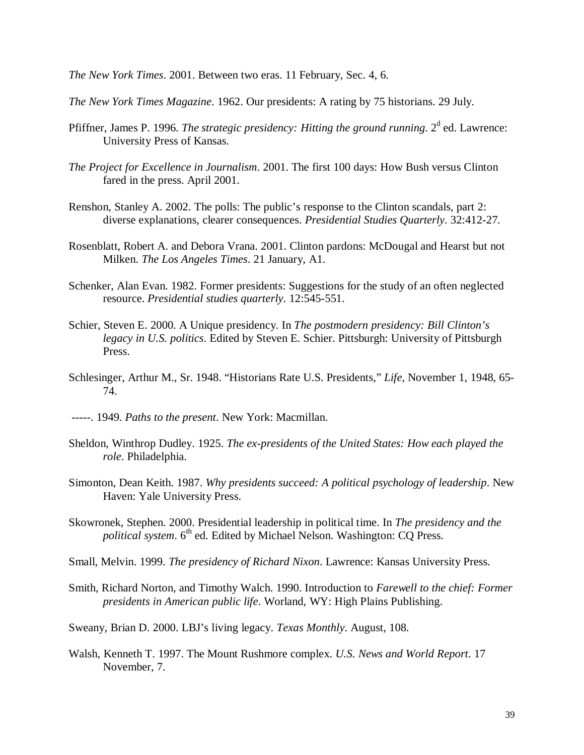*The New York Times*. 2001. Between two eras. 11 February, Sec. 4, 6.

*The New York Times Magazine*. 1962. Our presidents: A rating by 75 historians. 29 July.

- Pfiffner, James P. 1996. *The strategic presidency: Hitting the ground running*. 2<sup>d</sup> ed. Lawrence: University Press of Kansas.
- *The Project for Excellence in Journalism*. 2001. The first 100 days: How Bush versus Clinton fared in the press. April 2001.
- Renshon, Stanley A. 2002. The polls: The public's response to the Clinton scandals, part 2: diverse explanations, clearer consequences. *Presidential Studies Quarterly*. 32:412-27.
- Rosenblatt, Robert A. and Debora Vrana. 2001. Clinton pardons: McDougal and Hearst but not Milken. *The Los Angeles Times*. 21 January, A1.
- Schenker, Alan Evan. 1982. Former presidents: Suggestions for the study of an often neglected resource. *Presidential studies quarterly*. 12:545-551.
- Schier, Steven E. 2000. A Unique presidency. In *The postmodern presidency: Bill Clinton's legacy in U.S. politics*. Edited by Steven E. Schier. Pittsburgh: University of Pittsburgh Press.
- Schlesinger, Arthur M., Sr. 1948. "Historians Rate U.S. Presidents," *Life*, November 1, 1948, 65- 74.
- -----. 1949. *Paths to the present*. New York: Macmillan.
- Sheldon, Winthrop Dudley. 1925. *The ex-presidents of the United States: How each played the role*. Philadelphia.
- Simonton, Dean Keith. 1987. *Why presidents succeed: A political psychology of leadership*. New Haven: Yale University Press.
- Skowronek, Stephen. 2000. Presidential leadership in political time. In *The presidency and the political system.* 6<sup>th</sup> ed. Edited by Michael Nelson. Washington: CQ Press.
- Small, Melvin. 1999. *The presidency of Richard Nixon*. Lawrence: Kansas University Press.
- Smith, Richard Norton, and Timothy Walch. 1990. Introduction to *Farewell to the chief: Former presidents in American public life*. Worland, WY: High Plains Publishing.
- Sweany, Brian D. 2000. LBJ's living legacy. *Texas Monthly*. August, 108.
- Walsh, Kenneth T. 1997. The Mount Rushmore complex. *U.S. News and World Report*. 17 November, 7.